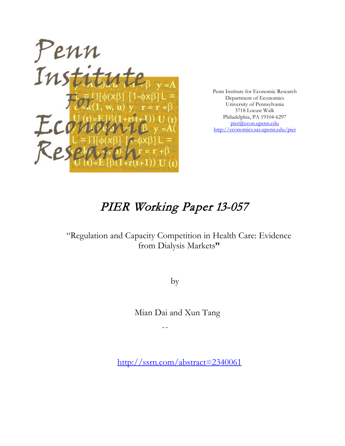

Penn Institute for Economic Research Department of Economics University of Pennsylvania 3718 Locust Walk Philadelphia, PA 19104-6297 [pier@econ.upenn.edu](mailto:pier@econ.upenn.edu) <http://economics.sas.upenn.edu/pier>

# PIER Working Paper 13-057

## "Regulation and Capacity Competition in Health Care: Evidence from Dialysis Markets**"**

by

Mian Dai and Xun Tang

 $\mathcal{L}(\mathcal{L})$ 

[http://ssrn.com/abstract=2](http://ssrn.com/abstract_id=)340061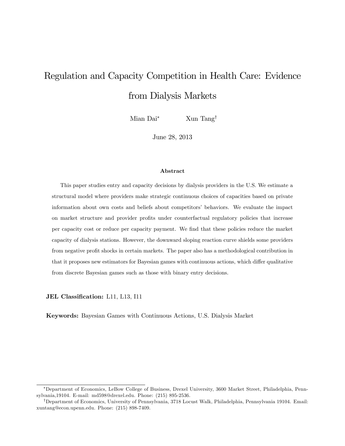# Regulation and Capacity Competition in Health Care: Evidence from Dialysis Markets

Mian Dai<sup>\*</sup> Xun Tang<sup>†</sup>

June 28, 2013

#### Abstract

This paper studies entry and capacity decisions by dialysis providers in the U.S. We estimate a structural model where providers make strategic continuous choices of capacities based on private information about own costs and beliefs about competitorsí behaviors. We evaluate the impact on market structure and provider profits under counterfactual regulatory policies that increase per capacity cost or reduce per capacity payment. We Önd that these policies reduce the market capacity of dialysis stations. However, the downward sloping reaction curve shields some providers from negative profit shocks in certain markets. The paper also has a methodological contribution in that it proposes new estimators for Bayesian games with continuous actions, which differ qualitative from discrete Bayesian games such as those with binary entry decisions.

JEL Classification: L11, L13, I11

Keywords: Bayesian Games with Continuous Actions, U.S. Dialysis Market

Department of Economics, LeBow College of Business, Drexel University, 3600 Market Street, Philadelphia, Pennsylvania,19104. E-mail: md598@drexel.edu. Phone: (215) 895-2536.

<sup>&</sup>lt;sup>†</sup>Department of Economics, University of Pennsylvania, 3718 Locust Walk, Philadelphia, Pennsylvania 19104. Email: xuntang@econ.upenn.edu. Phone: (215) 898-7409.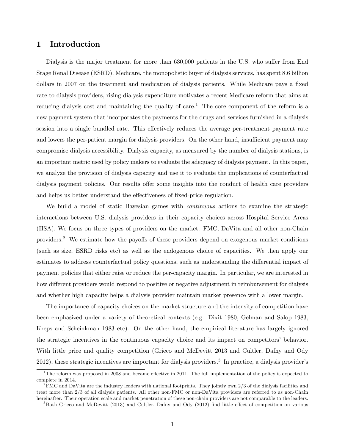## 1 Introduction

Dialysis is the major treatment for more than 630,000 patients in the U.S. who suffer from End Stage Renal Disease (ESRD). Medicare, the monopolistic buyer of dialysis services, has spent 8.6 billion dollars in 2007 on the treatment and medication of dialysis patients. While Medicare pays a fixed rate to dialysis providers, rising dialysis expenditure motivates a recent Medicare reform that aims at reducing dialysis cost and maintaining the quality of care.<sup>1</sup> The core component of the reform is a new payment system that incorporates the payments for the drugs and services furnished in a dialysis session into a single bundled rate. This effectively reduces the average per-treatment payment rate and lowers the per-patient margin for dialysis providers. On the other hand, insufficient payment may compromise dialysis accessibility. Dialysis capacity, as measured by the number of dialysis stations, is an important metric used by policy makers to evaluate the adequacy of dialysis payment. In this paper, we analyze the provision of dialysis capacity and use it to evaluate the implications of counterfactual dialysis payment policies. Our results offer some insights into the conduct of health care providers and helps us better understand the effectiveness of fixed-price regulation.

We build a model of static Bayesian games with *continuous* actions to examine the strategic interactions between U.S. dialysis providers in their capacity choices across Hospital Service Areas (HSA). We focus on three types of providers on the market: FMC, DaVita and all other non-Chain providers.<sup>2</sup> We estimate how the payoffs of these providers depend on exogenous market conditions (such as size, ESRD risks etc) as well as the endogenous choice of capacities. We then apply our estimates to address counterfactual policy questions, such as understanding the differential impact of payment policies that either raise or reduce the per-capacity margin. In particular, we are interested in how different providers would respond to positive or negative adjustment in reimbursement for dialysis and whether high capacity helps a dialysis provider maintain market presence with a lower margin.

The importance of capacity choices on the market structure and the intensity of competition have been emphasized under a variety of theoretical contexts (e.g. Dixit 1980, Gelman and Salop 1983, Kreps and Scheinkman 1983 etc). On the other hand, the empirical literature has largely ignored the strategic incentives in the continuous capacity choice and its impact on competitors' behavior. With little price and quality competition (Grieco and McDevitt 2013 and Cultler, Dafny and Ody 2012), these strategic incentives are important for dialysis providers.<sup>3</sup> In practice, a dialysis provider's

<sup>&</sup>lt;sup>1</sup>The reform was proposed in 2008 and became effective in 2011. The full implementation of the policy is expected to complete in 2014.

 $2FMC$  and DaVita are the industry leaders with national footprints. They jointly own  $2/3$  of the dialysis facilities and treat more than 2/3 of all dialysis patients. All other non-FMC or non-DaVita providers are referred to as non-Chain hereinafter. Their operation scale and market penetration of these non-chain providers are not comparable to the leaders.

<sup>&</sup>lt;sup>3</sup>Both Grieco and McDevitt (2013) and Cultler, Dafny and Ody (2012) find little effect of competition on various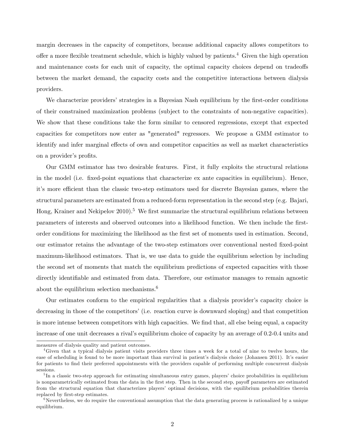margin decreases in the capacity of competitors, because additional capacity allows competitors to offer a more flexible treatment schedule, which is highly valued by patients.<sup>4</sup> Given the high operation and maintenance costs for each unit of capacity, the optimal capacity choices depend on tradeoffs between the market demand, the capacity costs and the competitive interactions between dialysis providers.

We characterize providers' strategies in a Bayesian Nash equilibrium by the first-order conditions of their constrained maximization problems (subject to the constraints of non-negative capacities). We show that these conditions take the form similar to censored regressions, except that expected capacities for competitors now enter as "generated" regressors. We propose a GMM estimator to identify and infer marginal effects of own and competitor capacities as well as market characteristics on a provider's profits.

Our GMM estimator has two desirable features. First, it fully exploits the structural relations in the model (i.e. fixed-point equations that characterize ex ante capacities in equilibrium). Hence, it's more efficient than the classic two-step estimators used for discrete Bayesian games, where the structural parameters are estimated from a reduced-form representation in the second step (e.g. Bajari, Hong, Krainer and Nekipelov  $2010$ <sup>5</sup>. We first summarize the structural equilibrium relations between parameters of interests and observed outcomes into a likelihood function. We then include the Örstorder conditions for maximizing the likelihood as the first set of moments used in estimation. Second, our estimator retains the advantage of the two-step estimators over conventional nested Öxed-point maximum-likelihood estimators. That is, we use data to guide the equilibrium selection by including the second set of moments that match the equilibrium predictions of expected capacities with those directly identifiable and estimated from data. Therefore, our estimator manages to remain agnostic about the equilibrium selection mechanisms.<sup>6</sup>

Our estimates conform to the empirical regularities that a dialysis providerís capacity choice is decreasing in those of the competitors' (i.e. reaction curve is downward sloping) and that competition is more intense between competitors with high capacities. We find that, all else being equal, a capacity increase of one unit decreases a rival's equilibrium choice of capacity by an average of 0.2-0.4 units and

measures of dialysis quality and patient outcomes.

<sup>4</sup>Given that a typical dialysis patient visits providers three times a week for a total of nine to twelve hours, the ease of scheduling is found to be more important than survival in patient's dialysis choice (Johansen 2011). It's easier for patients to find their preferred appointments with the providers capable of performing multiple concurrent dialysis sessions.

<sup>&</sup>lt;sup>5</sup>In a classic two-step approach for estimating simultaneous entry games, players' choice probabilities in equilibrium is nonparametrically estimated from the data in the first step. Then in the second step, payoff parameters are estimated from the structural equation that characterizes players' optimal decisions, with the equilibrium probabilities therein replaced by first-step estimates.

 $6\,\text{Nevertheless},$  we do require the conventional assumption that the data generating process is rationalized by a unique equilibrium.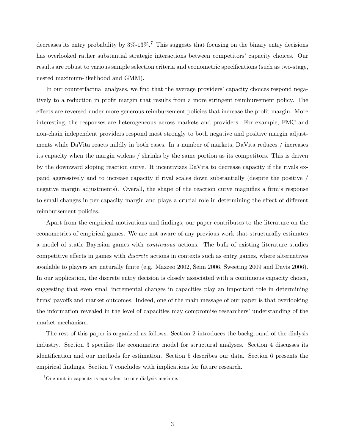decreases its entry probability by  $3\%$ -13%.<sup>7</sup> This suggests that focusing on the binary entry decisions has overlooked rather substantial strategic interactions between competitors' capacity choices. Our results are robust to various sample selection criteria and econometric specifications (such as two-stage, nested maximum-likelihood and GMM).

In our counterfactual analyses, we find that the average providers' capacity choices respond negatively to a reduction in profit margin that results from a more stringent reimbursement policy. The effects are reversed under more generous reimbursement policies that increase the profit margin. More interesting, the responses are heterogeneous across markets and providers. For example, FMC and non-chain independent providers respond most strongly to both negative and positive margin adjustments while DaVita reacts mildly in both cases. In a number of markets, DaVita reduces / increases its capacity when the margin widens / shrinks by the same portion as its competitors. This is driven by the downward sloping reaction curve. It incentivizes DaVita to decrease capacity if the rivals expand aggressively and to increase capacity if rival scales down substantially (despite the positive / negative margin adjustments). Overall, the shape of the reaction curve magnifies a firm's response to small changes in per-capacity margin and plays a crucial role in determining the effect of different reimbursement policies.

Apart from the empirical motivations and findings, our paper contributes to the literature on the econometrics of empirical games. We are not aware of any previous work that structurally estimates a model of static Bayesian games with continuous actions. The bulk of existing literature studies competitive effects in games with *discrete* actions in contexts such as entry games, where alternatives available to players are naturally finite (e.g. Mazzeo 2002, Seim 2006, Sweeting 2009 and Davis 2006). In our application, the discrete entry decision is closely associated with a continuous capacity choice, suggesting that even small incremental changes in capacities play an important role in determining firms' payoffs and market outcomes. Indeed, one of the main message of our paper is that overlooking the information revealed in the level of capacities may compromise researchers' understanding of the market mechanism.

The rest of this paper is organized as follows. Section 2 introduces the background of the dialysis industry. Section 3 specifies the econometric model for structural analyses. Section 4 discusses its identification and our methods for estimation. Section 5 describes our data. Section 6 presents the empirical findings. Section 7 concludes with implications for future research.

<sup>7</sup>One unit in capacity is equivalent to one dialysis machine.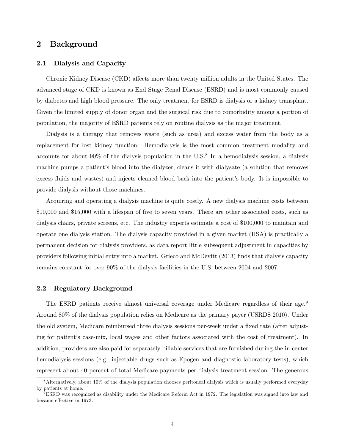## 2 Background

#### 2.1 Dialysis and Capacity

Chronic Kidney Disease (CKD) affects more than twenty million adults in the United States. The advanced stage of CKD is known as End Stage Renal Disease (ESRD) and is most commonly caused by diabetes and high blood pressure. The only treatment for ESRD is dialysis or a kidney transplant. Given the limited supply of donor organ and the surgical risk due to comorbidity among a portion of population, the majority of ESRD patients rely on routine dialysis as the major treatment.

Dialysis is a therapy that removes waste (such as urea) and excess water from the body as a replacement for lost kidney function. Hemodialysis is the most common treatment modality and accounts for about  $90\%$  of the dialysis population in the U.S.<sup>8</sup> In a hemodialysis session, a dialysis machine pumps a patient's blood into the dialyzer, cleans it with dialyzate (a solution that removes excess fluids and wastes) and injects cleaned blood back into the patient's body. It is impossible to provide dialysis without those machines.

Acquiring and operating a dialysis machine is quite costly. A new dialysis machine costs between \$10,000 and \$15,000 with a lifespan of five to seven years. There are other associated costs, such as dialysis chairs, private screens, etc. The industry experts estimate a cost of \$100,000 to maintain and operate one dialysis station. The dialysis capacity provided in a given market (HSA) is practically a permanent decision for dialysis providers, as data report little subsequent adjustment in capacities by providers following initial entry into a market. Grieco and McDevitt (2013) Önds that dialysis capacity remains constant for over 90% of the dialysis facilities in the U.S. between 2004 and 2007.

#### 2.2 Regulatory Background

The ESRD patients receive almost universal coverage under Medicare regardless of their age.<sup>9</sup> Around 80% of the dialysis population relies on Medicare as the primary payer (USRDS 2010). Under the old system, Medicare reimbursed three dialysis sessions per-week under a fixed rate (after adjusting for patient's case-mix, local wages and other factors associated with the cost of treatment). In addition, providers are also paid for separately billable services that are furnished during the in-center hemodialysis sessions (e.g. injectable drugs such as Epogen and diagnostic laboratory tests), which represent about 40 percent of total Medicare payments per dialysis treatment session. The generous

<sup>8</sup>Alternatively, about 10% of the dialysis population chooses peritoneal dialysis which is usually performed everyday by patients at home.

 $9^9$ ESRD was recognized as disability under the Medicare Reform Act in 1972. The legislation was signed into law and became effective in 1973.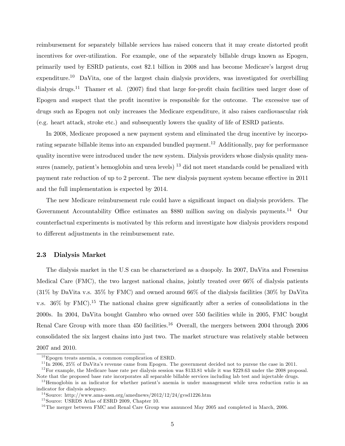reimbursement for separately billable services has raised concern that it may create distorted profit incentives for over-utilization. For example, one of the separately billable drugs known as Epogen, primarily used by ESRD patients, cost \$2.1 billion in 2008 and has become Medicare's largest drug expenditure.<sup>10</sup> DaVita, one of the largest chain dialysis providers, was investigated for overbilling dialysis drugs.<sup>11</sup> Thamer et al. (2007) find that large for-profit chain facilities used larger dose of Epogen and suspect that the profit incentive is responsible for the outcome. The excessive use of drugs such as Epogen not only increases the Medicare expenditure, it also raises cardiovascular risk (e.g. heart attack, stroke etc.) and subsequently lowers the quality of life of ESRD patients.

In 2008, Medicare proposed a new payment system and eliminated the drug incentive by incorporating separate billable items into an expanded bundled payment.<sup>12</sup> Additionally, pay for performance quality incentive were introduced under the new system. Dialysis providers whose dialysis quality measures (namely, patient's hemoglobin and urea levels)  $^{13}$  did not meet standards could be penalized with payment rate reduction of up to 2 percent. The new dialysis payment system became effective in 2011 and the full implementation is expected by 2014.

The new Medicare reimbursement rule could have a significant impact on dialysis providers. The Government Accountability Office estimates an \$880 million saving on dialysis payments.<sup>14</sup> Our counterfactual experiments is motivated by this reform and investigate how dialysis providers respond to different adjustments in the reimbursement rate.

#### 2.3 Dialysis Market

The dialysis market in the U.S can be characterized as a duopoly. In 2007, DaVita and Fresenius Medical Care (FMC), the two largest national chains, jointly treated over 66% of dialysis patients (31% by DaVita v.s. 35% by FMC) and owned around 66% of the dialysis facilities (30% by DaVita v.s.  $36\%$  by FMC).<sup>15</sup> The national chains grew significantly after a series of consolidations in the 2000s. In 2004, DaVita bought Gambro who owned over 550 facilities while in 2005, FMC bought Renal Care Group with more than 450 facilities.<sup>16</sup> Overall, the mergers between 2004 through 2006 consolidated the six largest chains into just two. The market structure was relatively stable between 2007 and 2010.

 $10$  Epogen treats anemia, a common complication of ESRD.

 $11$ In 2006, 25% of DaVita's revenue came from Epogen. The government decided not to pursue the case in 2011.

<sup>&</sup>lt;sup>12</sup> For example, the Medicare base rate per dialysis session was \$133.81 while it was \$229.63 under the 2008 proposal. Note that the proposed base rate incorporates all separable billable services including lab test and injectable drugs.

<sup>&</sup>lt;sup>13</sup>Hemoglobin is an indicator for whether patient's anemia is under management while urea reduction ratio is an indicator for dialysis adequacy.

<sup>&</sup>lt;sup>14</sup> Source: http://www.ama-assn.org/amednews/2012/12/24/gvsd1226.htm

 $15$  Source: USRDS Atlas of ESRD 2009, Chapter 10.

 $^{16}$ The merger between FMC and Renal Care Group was annunced May 2005 and completed in March, 2006.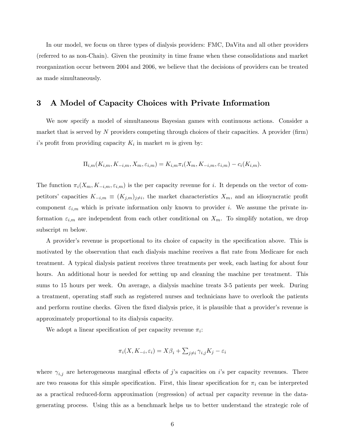In our model, we focus on three types of dialysis providers: FMC, DaVita and all other providers (referred to as non-Chain). Given the proximity in time frame when these consolidations and market reorganization occur between 2004 and 2006, we believe that the decisions of providers can be treated as made simultaneously.

## 3 A Model of Capacity Choices with Private Information

We now specify a model of simultaneous Bayesian games with continuous actions. Consider a market that is served by N providers competing through choices of their capacities. A provider (firm) i's profit from providing capacity  $K_i$  in market m is given by:

$$
\Pi_{i,m}(K_{i,m}, K_{-i,m}, X_m, \varepsilon_{i,m}) = K_{i,m} \pi_i(X_m, K_{-i,m}, \varepsilon_{i,m}) - c_i(K_{i,m}).
$$

The function  $\pi_i(X_m, K_{-i,m}, \varepsilon_{i,m})$  is the per capacity revenue for i. It depends on the vector of competitors' capacities  $K_{-i,m} \equiv (K_{j,m})_{j \neq i}$ , the market characteristics  $X_m$ , and an idiosyncratic profit component  $\varepsilon_{i,m}$  which is private information only known to provider i. We assume the private information  $\varepsilon_{i,m}$  are independent from each other conditional on  $X_m$ . To simplify notation, we drop subscript m below.

A provider's revenue is proportional to its choice of capacity in the specification above. This is motivated by the observation that each dialysis machine receives a flat rate from Medicare for each treatment. A typical dialysis patient receives three treatments per week, each lasting for about four hours. An additional hour is needed for setting up and cleaning the machine per treatment. This sums to 15 hours per week. On average, a dialysis machine treats 3-5 patients per week. During a treatment, operating staff such as registered nurses and technicians have to overlook the patients and perform routine checks. Given the fixed dialysis price, it is plausible that a provider's revenue is approximately proportional to its dialysis capacity.

We adopt a linear specification of per capacity revenue  $\pi_i$ :

$$
\pi_i(X, K_{-i}, \varepsilon_i) = X\beta_i + \sum_{j \neq i} \gamma_{i,j} K_j - \varepsilon_i
$$

where  $\gamma_{i,j}$  are heterogeneous marginal effects of j's capacities on i's per capacity revenues. There are two reasons for this simple specification. First, this linear specification for  $\pi_i$  can be interpreted as a practical reduced-form approximation (regression) of actual per capacity revenue in the datagenerating process. Using this as a benchmark helps us to better understand the strategic role of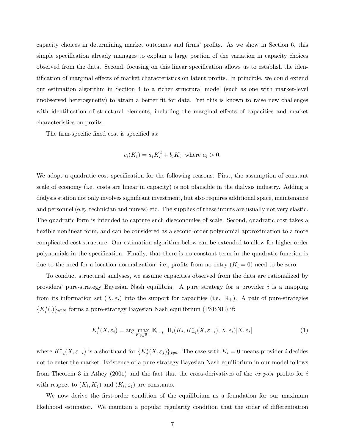capacity choices in determining market outcomes and firms' profits. As we show in Section 6, this simple specification already manages to explain a large portion of the variation in capacity choices observed from the data. Second, focusing on this linear specification allows us to establish the identification of marginal effects of market characteristics on latent profits. In principle, we could extend our estimation algorithm in Section 4 to a richer structural model (such as one with market-level unobserved heterogeneity) to attain a better Öt for data. Yet this is known to raise new challenges with identification of structural elements, including the marginal effects of capacities and market characteristics on profits.

The firm-specific fixed cost is specified as:

$$
c_i(K_i) = a_i K_i^2 + b_i K_i
$$
, where  $a_i > 0$ .

We adopt a quadratic cost specification for the following reasons. First, the assumption of constant scale of economy (i.e. costs are linear in capacity) is not plausible in the dialysis industry. Adding a dialysis station not only involves significant investment, but also requires additional space, maintenance and personnel (e.g. technician and nurses) etc. The supplies of these inputs are usually not very elastic. The quadratic form is intended to capture such diseconomies of scale. Second, quadratic cost takes a flexible nonlinear form, and can be considered as a second-order polynomial approximation to a more complicated cost structure. Our estimation algorithm below can be extended to allow for higher order polynomials in the specification. Finally, that there is no constant term in the quadratic function is due to the need for a location normalization: i.e., profits from no entry  $(K_i = 0)$  need to be zero.

To conduct structural analyses, we assume capacities observed from the data are rationalized by providers' pure-strategy Bayesian Nash equilibria. A pure strategy for a provider  $i$  is a mapping from its information set  $(X, \varepsilon_i)$  into the support for capacities (i.e.  $\mathbb{R}_+$ ). A pair of pure-strategies  $\{K_i^*(.)\}_{i\in\mathbb{N}}$  forms a pure-strategy Bayesian Nash equilibrium (PSBNE) if:

$$
K_i^*(X, \varepsilon_i) = \arg \max_{K_i \in \mathbb{R}_+} \mathbb{E}_{\varepsilon_{-i}} \left[ \Pi_i(K_i, K_{-i}^*(X, \varepsilon_{-i}), X, \varepsilon_i) | X, \varepsilon_i \right]
$$
(1)

where  $K_{-i}^*(X, \varepsilon_{-i})$  is a shorthand for  $\{K_j^*(X, \varepsilon_j)\}_{j \neq i}$ . The case with  $K_i = 0$  means provider i decides not to enter the market. Existence of a pure-strategy Bayesian Nash equilibrium in our model follows from Theorem 3 in Athey (2001) and the fact that the cross-derivatives of the *ex post* profits for i with respect to  $(K_i, K_j)$  and  $(K_i, \varepsilon_j)$  are constants.

We now derive the first-order condition of the equilibrium as a foundation for our maximum likelihood estimator. We maintain a popular regularity condition that the order of differentiation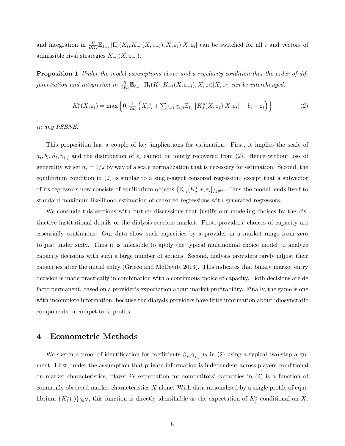and integration in  $\frac{\partial}{\partial K_i} \mathbb{E}_{\varepsilon_{-i}} [\Pi_i(K_i, K_{-i}(X, \varepsilon_{-i}), X, \varepsilon_i] | X, \varepsilon_i]$  can be switched for all i and vectors of admissible rival strategies  $K_{-i}(X, \varepsilon_{-i}).$ 

**Proposition 1** Under the model assumptions above and a regularity condition that the order of differentiation and integration in  $\frac{\partial}{\partial K_i} \mathbb{E}_{\varepsilon_{-i}} [\Pi_i(K_i, K_{-i}(X, \varepsilon_{-i}), X, \varepsilon_i]$  can be interchanged,

$$
K_i^*(X, \varepsilon_i) = \max\left\{0, \frac{1}{2a_i} \left(X\beta_i + \sum_{j \neq i} \gamma_{i,j} \mathbb{E}_{\varepsilon_j} \left[K_j^*(X, \varepsilon_j) | X, \varepsilon_i\right] - b_i - \varepsilon_i\right)\right\}
$$
(2)

in any PSBNE.

This proposition has a couple of key implications for estimation. First, it implies the scale of  $a_i, b_i, \beta_i, \gamma_{i,j}$  and the distribution of  $\varepsilon_i$  cannot be jointly recovered from (2). Hence without loss of generality we set  $a_i = 1/2$  by way of a scale normalization that is necessary for estimation. Second, the equilibrium condition in (2) is similar to a single-agent censored regression, except that a subvector of its regressors now consists of equilibrium objects  $\{\mathbb{E}_{\varepsilon_j}[K_j^*|x,\varepsilon_i]\}_{j\neq i}$ . Thus the model lends itself to standard maximum likelihood estimation of censored regressions with generated regressors.

We conclude this sections with further discussions that justify our modeling choices by the distinctive institutional details of the dialysis services market. First, providers' choices of capacity are essentially continuous. Our data show such capacities by a provider in a market range from zero to just under sixty. Thus it is infeasible to apply the typical multinomial choice model to analyze capacity decisions with such a large number of actions. Second, dialysis providers rarely adjust their capacities after the initial entry (Grieco and McDevitt 2013). This indicates that binary market entry decision is made practically in combination with a continuous choice of capacity. Both decisions are de facto permanent, based on a provider's expectation about market profitability. Finally, the game is one with incomplete information, because the dialysis providers have little information about idiosyncratic components in competitors' profits.

#### 4 Econometric Methods

We sketch a proof of identification for coefficients  $\beta_i, \gamma_{i,j}, b_i$  in (2) using a typical two-step argument. First, under the assumption that private information is independent across players conditional on market characteristics, player is expectation for competitors' capacities in  $(2)$  is a function of commonly observed market characteristics  $X$  alone. With data rationalized by a single profile of equilibrium  $\{K_i^*(.)\}_{i\in N}$ , this function is directly identifiable as the expectation of  $K_j^*$  conditional on X.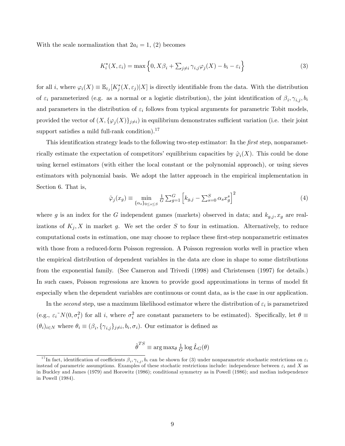With the scale normalization that  $2a_i = 1$ , (2) becomes

$$
K_i^*(X, \varepsilon_i) = \max\left\{0, X\beta_i + \sum_{j \neq i} \gamma_{i,j} \varphi_j(X) - b_i - \varepsilon_i\right\}
$$
\n(3)

for all *i*, where  $\varphi_i(X) \equiv \mathbb{E}_{\varepsilon_j}[K^*_j(X, \varepsilon_j)|X]$  is directly identifiable from the data. With the distribution of  $\varepsilon_i$  parameterized (e.g. as a normal or a logistic distribution), the joint identification of  $\beta_i, \gamma_{i,j}, b_i$ and parameters in the distribution of  $\varepsilon_i$  follows from typical arguments for parametric Tobit models, provided the vector of  $(X, \{\varphi_j(X)\}_{j\neq i})$  in equilibrium demonstrates sufficient variation (i.e. their joint support satisfies a mild full-rank condition).<sup>17</sup>

This identification strategy leads to the following two-step estimator: In the first step, nonparametrically estimate the expectation of competitors' equilibrium capacities by  $\hat{\varphi}_i(X)$ . This could be done using kernel estimators (with either the local constant or the polynomial approach), or using sieves estimators with polynomial basis. We adopt the latter approach in the empirical implementation in Section 6. That is,

$$
\hat{\varphi}_j(x_g) \equiv \min_{\{\alpha_s\}_{0 \le s \le S}} \frac{1}{G} \sum_{g=1}^G \left[ k_{g,j} - \sum_{s=0}^S \alpha_s x_g^s \right]^2 \tag{4}
$$

where g is an index for the G independent games (markets) observed in data; and  $k_{g,j}$ ,  $x_g$  are realizations of  $K_i$ , X in market g. We set the order S to four in estimation. Alternatively, to reduce computational costs in estimation, one may choose to replace these first-step nonparametric estimates with those from a reduced-form Poisson regression. A Poisson regression works well in practice when the empirical distribution of dependent variables in the data are close in shape to some distributions from the exponential family. (See Cameron and Trivedi (1998) and Christensen (1997) for details.) In such cases, Poisson regressions are known to provide good approximations in terms of model Öt especially when the dependent variables are continuous or count data, as is the case in our application.

In the second step, use a maximum likelihood estimator where the distribution of  $\varepsilon_i$  is parametrized (e.g.,  $\varepsilon_i^N(N(0, \sigma_i^2))$  for all i, where  $\sigma_i^2$  are constant parameters to be estimated). Specifically, let  $\theta \equiv$  $(\theta_i)_{i\in\mathbb{N}}$  where  $\theta_i \equiv (\beta_i, {\{\gamma_{i,j}\}}_{j\neq i}, b_i, \sigma_i)$ . Our estimator is defined as

$$
\hat{\boldsymbol{\theta}}^{TS} \equiv \arg\max_{\boldsymbol{\theta}} \tfrac{1}{G}\log \hat{L}_G(\boldsymbol{\theta})
$$

<sup>&</sup>lt;sup>17</sup>In fact, identification of coefficients  $\beta_i, \gamma_{i,j}$ ,  $b_i$  can be shown for (3) under nonparametric stochastic restrictions on  $\varepsilon_i$ instead of parametric assumptions. Examples of these stochatic restrictions include: independence between  $\varepsilon_i$  and X as in Buckley and James (1979) and Horowitz (1986); conditional symmetry as in Powell (1986); and median independence in Powell (1984).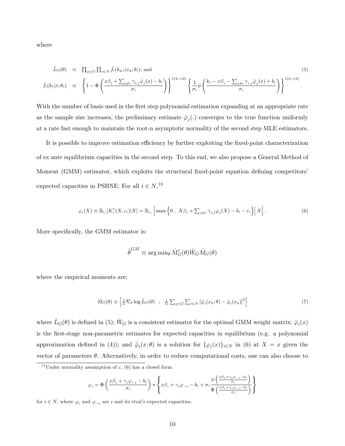where

$$
\hat{L}_{G}(\theta) \equiv \prod_{g \leq G} \prod_{i \in N} \hat{f}_{i}(k_{g,i}|x_{g};\theta_{i}); \text{ and}
$$
\n
$$
\hat{f}_{i}(k_{i}|x;\theta_{i}) \equiv \left\{1 - \Phi\left(\frac{x\beta_{i} + \sum_{j \neq i} \gamma_{i,j} \hat{\varphi}_{j}(x) - b_{i}}{\sigma_{i}}\right)\right\}^{1(k_{i} = 0)} \left\{\frac{1}{\sigma_{i}} \phi\left(\frac{k_{i} - x\beta_{i} - \sum_{j \neq i} \gamma_{i,j} \hat{\varphi}_{j}(x) + b_{i}}{\sigma_{i}}\right)\right\}^{1(k_{i} > 0)}.
$$
\n(5)

With the number of basis used in the first step polynomial estimation expanding at an appropriate rate as the sample size increases, the preliminary estimate  $\hat{\varphi}_j(.)$  converges to the true function uniformly at a rate fast enough to maintain the root-n asymptotic normality of the second step MLE estimators.

It is possible to improve estimation efficiency by further exploiting the fixed-point characterization of ex ante equilibrium capacities in the second step. To this end, we also propose a General Method of Moment (GMM) estimator, which exploits the structural fixed-point equation defining competitors expected capacities in PSBNE: For all  $i \in N$ ,<sup>18</sup>

$$
\varphi_i(X) \equiv \mathbb{E}_{\varepsilon_i}[K_i^*(X,\varepsilon_i)|X] = \mathbb{E}_{\varepsilon_i}\left[\max\left\{0\;,\;X\beta_i + \sum_{j\neq i}\gamma_{i,j}\varphi_j(X) - b_i - \varepsilon_i\right\}\Big|X\right].\tag{6}
$$

More specifically, the GMM estimator is:

$$
\hat{\theta}^{GM} \equiv \arg\min_{\theta} \hat{M}'_G(\theta)\hat{W}_G\hat{M}_G(\theta)
$$

where the empirical moments are:

$$
\hat{M}_G(\theta) \equiv \left[ \frac{1}{G} \nabla_{\theta} \log \hat{L}_G(\theta) \ ; \ \frac{1}{G} \sum_{g \leq G} \sum_{i \in N} \left[ \tilde{\varphi}_i(x_g; \theta) - \hat{\varphi}_i(x_g) \right]^2 \right] \tag{7}
$$

where  $\hat{L}_G(\theta)$  is defined in (5);  $\hat{W}_G$  is a consistent estimator for the optimal GMM weight matrix;  $\hat{\varphi}_i(x)$ is the first-stage non-parametric estimates for expected capacities in equilibrium (e.g. a polynomial approximation defined in (4)); and  $\tilde{\varphi}_i(x;\theta)$  is a solution for  $\{\varphi_i(x)\}_{i\in N}$  in (6) at  $X = x$  given the vector of parameters  $\theta$ . Alternatively, in order to reduce computational costs, one can also choose to

$$
\varphi_i = \Phi\left(\frac{x\beta_i + \gamma_i\varphi_{-i} - b_i}{\sigma_i}\right) * \left\{x\beta_i + \gamma_i\varphi_{-i} - b_i + \sigma_i\frac{\phi\left(\frac{x\beta_i + \gamma_i\varphi_{-i} - b_i}{\sigma_i}\right)}{\Phi\left(\frac{x\beta_i + \gamma_i\varphi_{-i} - b_i}{\sigma_i}\right)}\right\}
$$

for  $i \in N$ , where  $\varphi_i$  and  $\varphi_{-i}$  are i and its rival's expected capacities.

<sup>&</sup>lt;sup>18</sup>Under normality assumption of  $\varepsilon$ , (6) has a closed form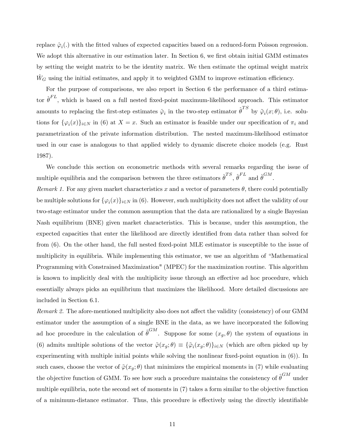replace  $\hat{\varphi}_i(.)$  with the fitted values of expected capacities based on a reduced-form Poisson regression. We adopt this alternative in our estimation later. In Section 6, we first obtain initial GMM estimates by setting the weight matrix to be the identity matrix. We then estimate the optimal weight matrix  $\hat{W}_G$  using the initial estimates, and apply it to weighted GMM to improve estimation efficiency.

For the purpose of comparisons, we also report in Section 6 the performance of a third estimator  $\hat{\theta}^{FL}$ , which is based on a full nested fixed-point maximum-likelihood approach. This estimator amounts to replacing the first-step estimates  $\hat{\varphi}_i$  in the two-step estimator  $\hat{\theta}^{TS}$  by  $\tilde{\varphi}_i(x;\theta)$ , i.e. solutions for  $\{\varphi_i(x)\}_{i\in\mathbb{N}}$  in (6) at  $X = x$ . Such an estimator is feasible under our specification of  $\pi_i$  and parametrization of the private information distribution. The nested maximum-likelihood estimator used in our case is analogous to that applied widely to dynamic discrete choice models (e.g. Rust 1987).

We conclude this section on econometric methods with several remarks regarding the issue of multiple equilibria and the comparison between the three estimators  $\hat{\theta}^{TS}$ ,  $\hat{\theta}^{FL}$  and  $\hat{\theta}^{GM}$ .

Remark 1. For any given market characteristics x and a vector of parameters  $\theta$ , there could potentially be multiple solutions for  $\{\varphi_i(x)\}_{i\in\mathbb{N}}$  in (6). However, such multiplicity does not affect the validity of our two-stage estimator under the common assumption that the data are rationalized by a single Bayesian Nash equilibrium (BNE) given market characteristics. This is because, under this assumption, the expected capacities that enter the likelihood are directly identified from data rather than solved for from (6). On the other hand, the full nested fixed-point MLE estimator is susceptible to the issue of multiplicity in equilibria. While implementing this estimator, we use an algorithm of "Mathematical" Programming with Constrained Maximization" (MPEC) for the maximization routine. This algorithm is known to implicitly deal with the multiplicity issue through an effective ad hoc procedure, which essentially always picks an equilibrium that maximizes the likelihood. More detailed discussions are included in Section 6.1.

Remark 2. The afore-mentioned multiplicity also does not affect the validity (consistency) of our GMM estimator under the assumption of a single BNE in the data, as we have incorporated the following ad hoc procedure in the calculation of  $\hat{\theta}^{GM}$ . Suppose for some  $(x_g, \theta)$  the system of equations in (6) admits multiple solutions of the vector  $\tilde{\varphi}(x_g; \theta) \equiv {\{\tilde{\varphi}_i(x_g; \theta)\}}_{i \in N}$  (which are often picked up by experimenting with multiple initial points while solving the nonlinear fixed-point equation in  $(6)$ ). In such cases, choose the vector of  $\tilde{\varphi}(x_g; \theta)$  that minimizes the empirical moments in (7) while evaluating the objective function of GMM. To see how such a procedure maintains the consistency of  $\hat{\theta}^{GM}$  under multiple equilibria, note the second set of moments in (7) takes a form similar to the objective function of a minimum-distance estimator. Thus, this procedure is effectively using the directly identifiable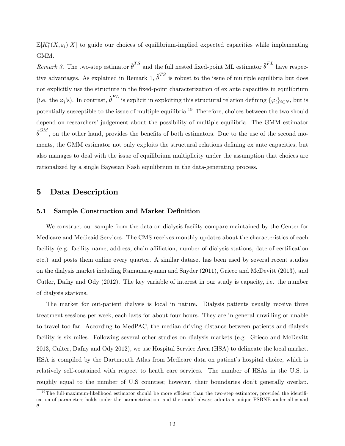$\mathbb{E}[K_i^*(X,\varepsilon_i)|X]$  to guide our choices of equilibrium-implied expected capacities while implementing GMM.

Remark 3. The two-step estimator  $\hat{\theta}^{TS}$  and the full nested fixed-point ML estimator  $\hat{\theta}^{FL}$  have respective advantages. As explained in Remark 1,  $\hat{\theta}^{TS}$  is robust to the issue of multiple equilibria but does not explicitly use the structure in the Öxed-point characterization of ex ante capacities in equilibrium (i.e. the  $\varphi_i$ 's). In contrast,  $\hat{\theta}^{FL}$  is explicit in exploiting this structural relation defining  $\{\varphi_i\}_{i\in N}$ , but is potentially susceptible to the issue of multiple equilibria.<sup>19</sup> Therefore, choices between the two should depend on researchers' judgement about the possibility of multiple equilibria. The GMM estimator  $\hat{\theta}^{GM}$ , on the other hand, provides the benefits of both estimators. Due to the use of the second moments, the GMM estimator not only exploits the structural relations defining ex ante capacities, but also manages to deal with the issue of equilibrium multiplicity under the assumption that choices are rationalized by a single Bayesian Nash equilibrium in the data-generating process.

### 5 Data Description

#### 5.1 Sample Construction and Market Definition

We construct our sample from the data on dialysis facility compare maintained by the Center for Medicare and Medicaid Services. The CMS receives monthly updates about the characteristics of each facility (e.g. facility name, address, chain affiliation, number of dialysis stations, date of certification etc.) and posts them online every quarter. A similar dataset has been used by several recent studies on the dialysis market including Ramanarayanan and Snyder (2011), Grieco and McDevitt (2013), and Cutler, Dafny and Ody (2012). The key variable of interest in our study is capacity, i.e. the number of dialysis stations.

The market for out-patient dialysis is local in nature. Dialysis patients usually receive three treatment sessions per week, each lasts for about four hours. They are in general unwilling or unable to travel too far. According to MedPAC, the median driving distance between patients and dialysis facility is six miles. Following several other studies on dialysis markets (e.g. Grieco and McDevitt 2013, Culter, Dafny and Ody 2012), we use Hospital Service Area (HSA) to delineate the local market. HSA is compiled by the Dartmouth Atlas from Medicare data on patientís hospital choice, which is relatively self-contained with respect to heath care services. The number of HSAs in the U.S. is roughly equal to the number of U.S counties; however, their boundaries don't generally overlap.

 $19$ The full-maximum-likelihood estimator should be more efficient than the two-step estimator, provided the identification of parameters holds under the parametrization, and the model always admits a unique PSBNE under all  $x$  and  $\theta$ .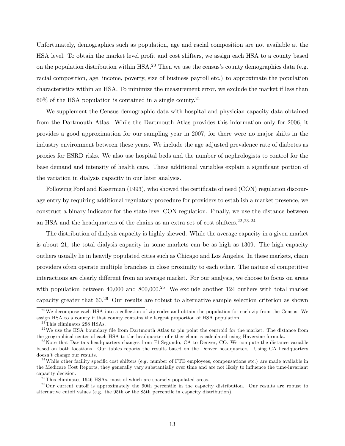Unfortunately, demographics such as population, age and racial composition are not available at the HSA level. To obtain the market level profit and cost shifters, we assign each HSA to a county based on the population distribution within HSA.<sup>20</sup> Then we use the census's county demographics data (e.g. racial composition, age, income, poverty, size of business payroll etc.) to approximate the population characteristics within an HSA. To minimize the measurement error, we exclude the market if less than  $60\%$  of the HSA population is contained in a single county.<sup>21</sup>

We supplement the Census demographic data with hospital and physician capacity data obtained from the Dartmouth Atlas. While the Dartmouth Atlas provides this information only for 2006, it provides a good approximation for our sampling year in 2007, for there were no major shifts in the industry environment between these years. We include the age adjusted prevalence rate of diabetes as proxies for ESRD risks. We also use hospital beds and the number of nephrologists to control for the base demand and intensity of health care. These additional variables explain a significant portion of the variation in dialysis capacity in our later analysis.

Following Ford and Kaserman (1993), who showed the certificate of need (CON) regulation discourage entry by requiring additional regulatory procedure for providers to establish a market presence, we construct a binary indicator for the state level CON regulation. Finally, we use the distance between an HSA and the headquarters of the chains as an extra set of cost shifters.<sup>22,23,24</sup>

The distribution of dialysis capacity is highly skewed. While the average capacity in a given market is about 21, the total dialysis capacity in some markets can be as high as 1309. The high capacity outliers usually lie in heavily populated cities such as Chicago and Los Angeles. In these markets, chain providers often operate multiple branches in close proximity to each other. The nature of competitive interactions are clearly different from an average market. For our analysis, we choose to focus on areas with population between 40,000 and 800,000.<sup>25</sup> We exclude another 124 outliers with total market capacity greater that  $60<sup>26</sup>$  Our results are robust to alternative sample selection criterion as shown

 $^{20}$  We decompose each HSA into a collection of zip codes and obtain the population for each zip from the Census. We assign HSA to a county if that county contains the largest proportion of HSA population.

 $^{21}$ This eliminates 288 HSAs.

 $^{22}$ We use the HSA boundary file from Dartmouth Atlas to pin point the centroid for the market. The distance from the geographical center of each HSA to the headquarter of either chain is calculated using Haversine formula.

 $^{23}$  Note that Davita's headquarters changes from El Segundo, CA to Denver, CO. We compute the distance variable based on both locations. Our tables reports the results based on the Denver headquarters. Using CA headquarters doesn't change our results.

<sup>&</sup>lt;sup>24</sup>While other facility specific cost shifters (e.g. number of FTE employees, compensations etc.) are made available in the Medicare Cost Reports, they generally vary substantially over time and are not likely to influence the time-invariant capacity decision.

 $^{25}$ This eliminates 1646 HSAs, most of which are sparsely populated areas.

 $^{26}$ Our current cutoff is approximately the 90th percentile in the capacity distribution. Our results are robust to alternative cutoff values (e.g. the 95th or the 85th percentile in capacity distribution).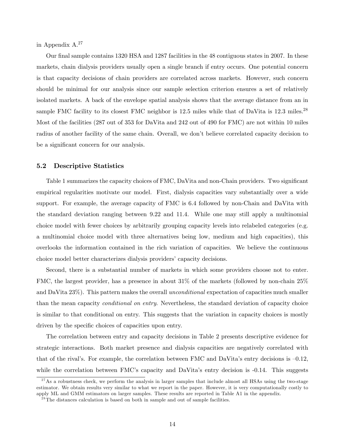in Appendix A.<sup>27</sup>

Our final sample contains 1320 HSA and 1287 facilities in the 48 contiguous states in 2007. In these markets, chain dialysis providers usually open a single branch if entry occurs. One potential concern is that capacity decisions of chain providers are correlated across markets. However, such concern should be minimal for our analysis since our sample selection criterion ensures a set of relatively isolated markets. A back of the envelope spatial analysis shows that the average distance from an in sample FMC facility to its closest FMC neighbor is 12.5 miles while that of DaVita is 12.3 miles.<sup>28</sup> Most of the facilities (287 out of 353 for DaVita and 242 out of 490 for FMC) are not within 10 miles radius of another facility of the same chain. Overall, we don't believe correlated capacity decision to be a significant concern for our analysis.

#### 5.2 Descriptive Statistics

Table 1 summarizes the capacity choices of FMC, DaVita and non-Chain providers. Two significant empirical regularities motivate our model. First, dialysis capacities vary substantially over a wide support. For example, the average capacity of FMC is 6.4 followed by non-Chain and DaVita with the standard deviation ranging between 9.22 and 11.4. While one may still apply a multinomial choice model with fewer choices by arbitrarily grouping capacity levels into relabeled categories (e.g. a multinomial choice model with three alternatives being low, medium and high capacities), this overlooks the information contained in the rich variation of capacities. We believe the continuous choice model better characterizes dialysis providersícapacity decisions.

Second, there is a substantial number of markets in which some providers choose not to enter. FMC, the largest provider, has a presence in about 31% of the markets (followed by non-chain 25% and DaVita 23%). This pattern makes the overall unconditional expectation of capacities much smaller than the mean capacity *conditional on entry*. Nevertheless, the standard deviation of capacity choice is similar to that conditional on entry. This suggests that the variation in capacity choices is mostly driven by the specific choices of capacities upon entry.

The correlation between entry and capacity decisions in Table 2 presents descriptive evidence for strategic interactions. Both market presence and dialysis capacities are negatively correlated with that of the rival's. For example, the correlation between FMC and DaVita's entry decisions is  $-0.12$ , while the correlation between FMC's capacity and DaVita's entry decision is  $-0.14$ . This suggests

<sup>&</sup>lt;sup>27</sup>As a robustness check, we perform the analysis in larger samples that include almost all HSAs using the two-stage estimator. We obtain results very similar to what we report in the paper. However, it is very computationally costly to apply ML and GMM estimators on larger samples. These results are reported in Table A1 in the appendix.

 $^{28}$ The distances calculation is based on both in sample and out of sample facilities.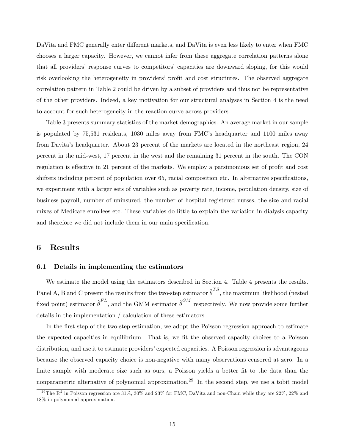DaVita and FMC generally enter different markets, and DaVita is even less likely to enter when FMC chooses a larger capacity. However, we cannot infer from these aggregate correlation patterns alone that all providers' response curves to competitors' capacities are downward sloping, for this would risk overlooking the heterogeneity in providers' profit and cost structures. The observed aggregate correlation pattern in Table 2 could be driven by a subset of providers and thus not be representative of the other providers. Indeed, a key motivation for our structural analyses in Section 4 is the need to account for such heterogeneity in the reaction curve across providers.

Table 3 presents summary statistics of the market demographics. An average market in our sample is populated by 75,531 residents, 1030 miles away from FMC's headquarter and 1100 miles away from Davitaís headquarter. About 23 percent of the markets are located in the northeast region, 24 percent in the mid-west, 17 percent in the west and the remaining 31 percent in the south. The CON regulation is effective in 21 percent of the markets. We employ a parsimonious set of profit and cost shifters including percent of population over 65, racial composition etc. In alternative specifications, we experiment with a larger sets of variables such as poverty rate, income, population density, size of business payroll, number of uninsured, the number of hospital registered nurses, the size and racial mixes of Medicare enrollees etc. These variables do little to explain the variation in dialysis capacity and therefore we did not include them in our main specification.

### 6 Results

#### 6.1 Details in implementing the estimators

We estimate the model using the estimators described in Section 4. Table 4 presents the results. Panel A, B and C present the results from the two-step estimator  $\hat{\theta}^{TS}$ , the maximum likelihood (nested fixed point) estimator  $\hat{\theta}^{FL}$ , and the GMM estimator  $\hat{\theta}^{GM}$  respectively. We now provide some further details in the implementation / calculation of these estimators.

In the first step of the two-step estimation, we adopt the Poisson regression approach to estimate the expected capacities in equilibrium. That is, we fit the observed capacity choices to a Poisson distribution, and use it to estimate providers' expected capacities. A Poisson regression is advantageous because the observed capacity choice is non-negative with many observations censored at zero. In a finite sample with moderate size such as ours, a Poisson yields a better fit to the data than the nonparametric alternative of polynomial approximation.<sup>29</sup> In the second step, we use a tobit model

<sup>&</sup>lt;sup>29</sup>The R<sup>2</sup> in Poisson regression are 31%, 30% and 23% for FMC, DaVita and non-Chain while they are 22%, 22% and 18% in polynomial approximation.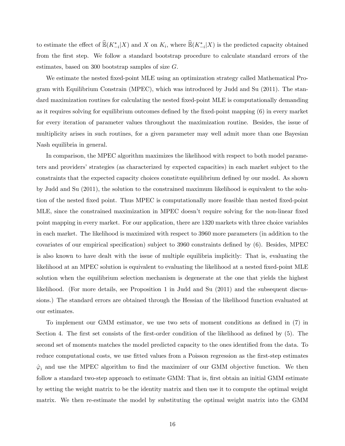to estimate the effect of  $\mathbb{E}(K_{-i}^*|X)$  and X on  $K_i$ , where  $\mathbb{E}(K_{-i}^*|X)$  is the predicted capacity obtained from the first step. We follow a standard bootstrap procedure to calculate standard errors of the estimates, based on 300 bootstrap samples of size  $G$ .

We estimate the nested fixed-point MLE using an optimization strategy called Mathematical Program with Equilibrium Constrain (MPEC), which was introduced by Judd and Su (2011). The standard maximization routines for calculating the nested fixed-point MLE is computationally demanding as it requires solving for equilibrium outcomes defined by the fixed-point mapping  $(6)$  in every market for every iteration of parameter values throughout the maximization routine. Besides, the issue of multiplicity arises in such routines, for a given parameter may well admit more than one Bayesian Nash equilibria in general.

In comparison, the MPEC algorithm maximizes the likelihood with respect to both model parameters and providers' strategies (as characterized by expected capacities) in each market subject to the constraints that the expected capacity choices constitute equilibrium defined by our model. As shown by Judd and Su (2011), the solution to the constrained maximum likelihood is equivalent to the solution of the nested fixed point. Thus MPEC is computationally more feasible than nested fixed-point MLE, since the constrained maximization in MPEC doesn't require solving for the non-linear fixed point mapping in every market. For our application, there are 1320 markets with three choice variables in each market. The likelihood is maximized with respect to 3960 more parameters (in addition to the covariates of our empirical specification) subject to 3960 constraints defined by (6). Besides, MPEC is also known to have dealt with the issue of multiple equilibria implicitly: That is, evaluating the likelihood at an MPEC solution is equivalent to evaluating the likelihood at a nested fixed-point MLE solution when the equilibrium selection mechanism is degenerate at the one that yields the highest likelihood. (For more details, see Proposition 1 in Judd and Su (2011) and the subsequent discussions.) The standard errors are obtained through the Hessian of the likelihood function evaluated at our estimates.

To implement our GMM estimator, we use two sets of moment conditions as defined in  $(7)$  in Section 4. The first set consists of the first-order condition of the likelihood as defined by  $(5)$ . The second set of moments matches the model predicted capacity to the ones identified from the data. To reduce computational costs, we use fitted values from a Poisson regression as the first-step estimates  $\hat{\varphi}_i$  and use the MPEC algorithm to find the maximizer of our GMM objective function. We then follow a standard two-step approach to estimate GMM: That is, first obtain an initial GMM estimate by setting the weight matrix to be the identity matrix and then use it to compute the optimal weight matrix. We then re-estimate the model by substituting the optimal weight matrix into the GMM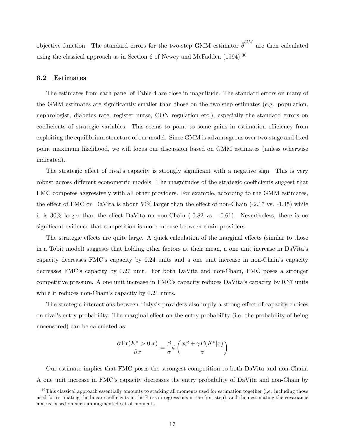objective function. The standard errors for the two-step GMM estimator  $\hat{\boldsymbol{\theta}}^{GM}$ are then calculated using the classical approach as in Section 6 of Newey and McFadden  $(1994)$ <sup>30</sup>

#### 6.2 Estimates

The estimates from each panel of Table 4 are close in magnitude. The standard errors on many of the GMM estimates are significantly smaller than those on the two-step estimates (e.g. population, nephrologist, diabetes rate, register nurse, CON regulation etc.), especially the standard errors on coefficients of strategic variables. This seems to point to some gains in estimation efficiency from exploiting the equilibrium structure of our model. Since GMM is advantageous over two-stage and fixed point maximum likelihood, we will focus our discussion based on GMM estimates (unless otherwise indicated).

The strategic effect of rival's capacity is strongly significant with a negative sign. This is very robust across different econometric models. The magnitudes of the strategic coefficients suggest that FMC competes aggressively with all other providers. For example, according to the GMM estimates, the effect of FMC on DaVita is about  $50\%$  larger than the effect of non-Chain (-2.17 vs. -1.45) while it is  $30\%$  larger than the effect DaVita on non-Chain (-0.82 vs. -0.61). Nevertheless, there is no significant evidence that competition is more intense between chain providers.

The strategic effects are quite large. A quick calculation of the marginal effects (similar to those in a Tobit model) suggests that holding other factors at their mean, a one unit increase in DaVitaís capacity decreases FMC's capacity by 0.24 units and a one unit increase in non-Chain's capacity decreases FMC's capacity by 0.27 unit. For both DaVita and non-Chain, FMC poses a stronger competitive pressure. A one unit increase in FMC's capacity reduces DaVita's capacity by  $0.37$  units while it reduces non-Chain's capacity by 0.21 units.

The strategic interactions between dialysis providers also imply a strong effect of capacity choices on rival's entry probability. The marginal effect on the entry probability (i.e. the probability of being uncensored) can be calculated as:

$$
\frac{\partial \Pr(K^* > 0|x)}{\partial x} = \frac{\beta}{\sigma} \phi \left( \frac{x\beta + \gamma E(K^*|x)}{\sigma} \right)
$$

Our estimate implies that FMC poses the strongest competition to both DaVita and non-Chain. A one unit increase in FMCís capacity decreases the entry probability of DaVita and non-Chain by

 $30$ This classical approach essentially amounts to stacking all moments used for estimation together (i.e. including those used for estimating the linear coefficients in the Poisson regressions in the first step), and then estimating the covariance matrix based on such an augmented set of moments.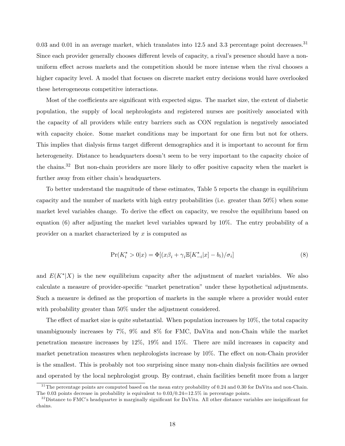0.03 and 0.01 in an average market, which translates into 12.5 and 3.3 percentage point decreases.<sup>31</sup> Since each provider generally chooses different levels of capacity, a rival's presence should have a nonuniform effect across markets and the competition should be more intense when the rival chooses a higher capacity level. A model that focuses on discrete market entry decisions would have overlooked these heterogeneous competitive interactions.

Most of the coefficients are significant with expected signs. The market size, the extent of diabetic population, the supply of local nephrologists and registered nurses are positively associated with the capacity of all providers while entry barriers such as CON regulation is negatively associated with capacity choice. Some market conditions may be important for one firm but not for others. This implies that dialysis firms target different demographics and it is important to account for firm heterogeneity. Distance to headquarters doesn't seem to be very important to the capacity choice of the chains.<sup>32</sup> But non-chain providers are more likely to offer positive capacity when the market is further away from either chain's headquarters.

To better understand the magnitude of these estimates, Table 5 reports the change in equilibrium capacity and the number of markets with high entry probabilities (i.e. greater than 50%) when some market level variables change. To derive the effect on capacity, we resolve the equilibrium based on equation (6) after adjusting the market level variables upward by 10%. The entry probability of a provider on a market characterized by  $x$  is computed as

$$
\Pr(K_i^* > 0|x) = \Phi[(x\beta_i + \gamma_i \mathbb{E}[K_{-i}^*|x] - b_i)/\sigma_i] \tag{8}
$$

and  $E(K^*|X)$  is the new equilibrium capacity after the adjustment of market variables. We also calculate a measure of provider-specific "market penetration" under these hypothetical adjustments. Such a measure is defined as the proportion of markets in the sample where a provider would enter with probability greater than 50% under the adjustment considered.

The effect of market size is quite substantial. When population increases by  $10\%$ , the total capacity unambiguously increases by 7%, 9% and 8% for FMC, DaVita and non-Chain while the market penetration measure increases by 12%, 19% and 15%. There are mild increases in capacity and market penetration measures when nephrologists increase by  $10\%$ . The effect on non-Chain provider is the smallest. This is probably not too surprising since many non-chain dialysis facilities are owned and operated by the local nephrologist group. By contrast, chain facilities benefit more from a larger

 $31$ The percentage points are computed based on the mean entry probability of 0.24 and 0.30 for DaVita and non-Chain. The 0.03 points decrease in probability is equivalent to  $0.03/0.24=12.5\%$  in percentage points.

 $32$ Distance to FMC's headquarter is marginally significant for DaVita. All other distance variables are insignificant for chains.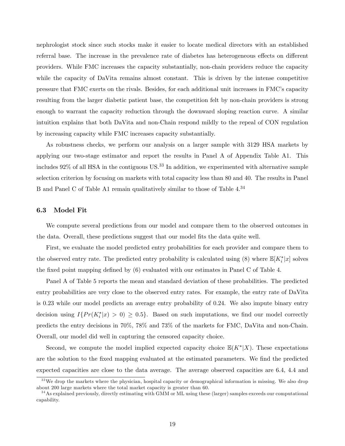nephrologist stock since such stocks make it easier to locate medical directors with an established referral base. The increase in the prevalence rate of diabetes has heterogeneous effects on different providers. While FMC increases the capacity substantially, non-chain providers reduce the capacity while the capacity of DaVita remains almost constant. This is driven by the intense competitive pressure that FMC exerts on the rivals. Besides, for each additional unit increases in FMCís capacity resulting from the larger diabetic patient base, the competition felt by non-chain providers is strong enough to warrant the capacity reduction through the downward sloping reaction curve. A similar intuition explains that both DaVita and non-Chain respond mildly to the repeal of CON regulation by increasing capacity while FMC increases capacity substantially.

As robustness checks, we perform our analysis on a larger sample with 3129 HSA markets by applying our two-stage estimator and report the results in Panel A of Appendix Table A1. This includes  $92\%$  of all HSA in the contiguous US.<sup>33</sup> In addition, we experimented with alternative sample selection criterion by focusing on markets with total capacity less than 80 and 40. The results in Panel B and Panel C of Table A1 remain qualitatively similar to those of Table 4.<sup>34</sup>

#### 6.3 Model Fit

We compute several predictions from our model and compare them to the observed outcomes in the data. Overall, these predictions suggest that our model fits the data quite well.

First, we evaluate the model predicted entry probabilities for each provider and compare them to the observed entry rate. The predicted entry probability is calculated using (8) where  $\mathbb{E}[K_i^*|x]$  solves the fixed point mapping defined by  $(6)$  evaluated with our estimates in Panel C of Table 4.

Panel A of Table 5 reports the mean and standard deviation of these probabilities. The predicted entry probabilities are very close to the observed entry rates. For example, the entry rate of DaVita is 0.23 while our model predicts an average entry probability of 0.24. We also impute binary entry decision using  $I\{Pr(K_i^*|x) > 0) \ge 0.5\}$ . Based on such imputations, we find our model correctly predicts the entry decisions in 70%, 78% and 73% of the markets for FMC, DaVita and non-Chain. Overall, our model did well in capturing the censored capacity choice.

Second, we compute the model implied expected capacity choice  $\mathbb{E}(K^*|X)$ . These expectations are the solution to the fixed mapping evaluated at the estimated parameters. We find the predicted expected capacities are close to the data average. The average observed capacities are 6.4, 4.4 and

<sup>&</sup>lt;sup>33</sup> We drop the markets where the physician, hospital capacity or demographical information is missing. We also drop about 200 large markets where the total market capacity is greater than 60.

 $34$  As explained previously, directly estimating with GMM or ML using these (larger) samples exceeds our computational capability.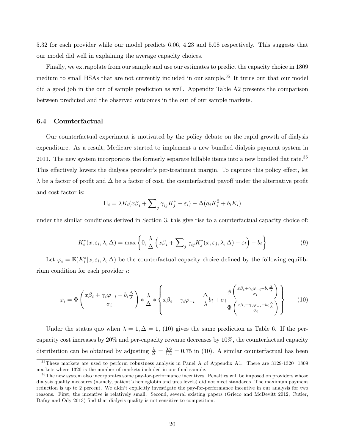5.32 for each provider while our model predicts 6.06, 4.23 and 5.08 respectively. This suggests that our model did well in explaining the average capacity choices.

Finally, we extrapolate from our sample and use our estimates to predict the capacity choice in 1809 medium to small HSAs that are not currently included in our sample.<sup>35</sup> It turns out that our model did a good job in the out of sample prediction as well. Appendix Table A2 presents the comparison between predicted and the observed outcomes in the out of our sample markets.

#### 6.4 Counterfactual

Our counterfactual experiment is motivated by the policy debate on the rapid growth of dialysis expenditure. As a result, Medicare started to implement a new bundled dialysis payment system in 2011. The new system incorporates the formerly separate billable items into a new bundled flat rate.<sup>36</sup> This effectively lowers the dialysis provider's per-treatment margin. To capture this policy effect, let  $\lambda$  be a factor of profit and  $\Delta$  be a factor of cost, the counterfactual payoff under the alternative profit and cost factor is:

$$
\Pi_i = \lambda K_i (x\beta_i + \sum_j \gamma_{ij} K_j^* - \varepsilon_i) - \Delta(a_i K_i^2 + b_i K_i)
$$

under the similar conditions derived in Section 3, this give rise to a counterfactual capacity choice of:

$$
K_i^*(x, \varepsilon_i, \lambda, \Delta) = \max \left\{ 0, \frac{\lambda}{\Delta} \left( x\beta_i + \sum_j \gamma_{ij} K_j^*(x, \varepsilon_j, \lambda, \Delta) - \varepsilon_i \right) - b_i \right\}
$$
(9)

Let  $\varphi_i = \mathbb{E}(K_i^* | x, \varepsilon_i, \lambda, \Delta)$  be the counterfactual capacity choice defined by the following equilibrium condition for each provider i:

$$
\varphi_i = \Phi\left(\frac{x\beta_i + \gamma_i\varphi_{-i} - b_i\frac{\Delta}{\lambda}}{\sigma_i}\right) * \frac{\lambda}{\Delta} * \left\{x\beta_i + \gamma_i\varphi_{-i} - \frac{\Delta}{\lambda}b_i + \sigma_i\frac{\phi\left(\frac{x\beta_i + \gamma_i\varphi_{-i} - b_i\frac{\Delta}{\lambda}}{\sigma_i}\right)}{\Phi\left(\frac{x\beta_i + \gamma_i\varphi_{-i} - b_i\frac{\Delta}{\lambda}}{\sigma_i}\right)}\right\}
$$
(10)

Under the status quo when  $\lambda = 1, \Delta = 1$ , (10) gives the same prediction as Table 6. If the percapacity cost increases by 20% and per-capacity revenue decreases by 10%, the counterfactual capacity distribution can be obtained by adjusting  $\frac{\lambda}{\Delta} = \frac{0.9}{1.2} = 0.75$  in (10). A similar counterfactual has been

<sup>&</sup>lt;sup>35</sup>These markets are used to perform robustness analysis in Panel A of Appendix A1. There are 3129-1320=1809 markets where 1320 is the number of markets included in our final sample.

<sup>&</sup>lt;sup>36</sup>The new system also incorporates some pay-for-performance incentives. Penalties will be imposed on providers whose dialysis quality measures (namely, patient's hemoglobin and urea levels) did not meet standards. The maximum payment reduction is up to 2 percent. We didn't explicitly investigate the pay-for-performance incentive in our analysis for two reasons. First, the incentive is relatively small. Second, several existing papers (Grieco and McDevitt 2012, Cutler, Dafny and Ody 2013) find that dialysis quality is not sensitive to competition.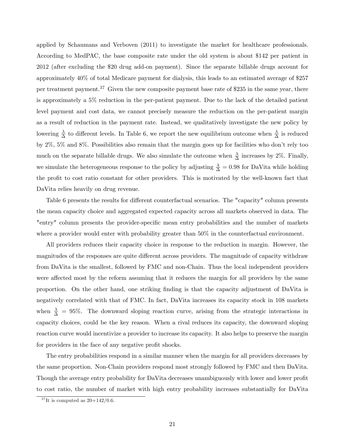applied by Schaumans and Verboven (2011) to investigate the market for healthcare professionals. According to MedPAC, the base composite rate under the old system is about \$142 per patient in 2012 (after excluding the \$20 drug add-on payment). Since the separate billable drugs account for approximately 40% of total Medicare payment for dialysis, this leads to an estimated average of \$257 per treatment payment.<sup>37</sup> Given the new composite payment base rate of \$235 in the same year, there is approximately a 5% reduction in the per-patient payment. Due to the lack of the detailed patient level payment and cost data, we cannot precisely measure the reduction on the per-patient margin as a result of reduction in the payment rate. Instead, we qualitatively investigate the new policy by lowering  $\frac{\lambda}{\Delta}$  to different levels. In Table 6, we report the new equilibrium outcome when  $\frac{\lambda}{\Delta}$  is reduced by 2%, 5% and 8%. Possibilities also remain that the margin goes up for facilities who donít rely too much on the separate billable drugs. We also simulate the outcome when  $\frac{\lambda}{\Delta}$  increases by 2%. Finally, we simulate the heterogeneous response to the policy by adjusting  $\frac{\lambda}{\Delta} = 0.98$  for DaVita while holding the profit to cost ratio constant for other providers. This is motivated by the well-known fact that DaVita relies heavily on drug revenue.

Table 6 presents the results for different counterfactual scenarios. The "capacity" column presents the mean capacity choice and aggregated expected capacity across all markets observed in data. The "entry" column presents the provider-specific mean entry probabilities and the number of markets where a provider would enter with probability greater than  $50\%$  in the counterfactual environment.

All providers reduces their capacity choice in response to the reduction in margin. However, the magnitudes of the responses are quite different across providers. The magnitude of capacity withdraw from DaVita is the smallest, followed by FMC and non-Chain. Thus the local independent providers were affected most by the reform assuming that it reduces the margin for all providers by the same proportion. On the other hand, one striking Önding is that the capacity adjustment of DaVita is negatively correlated with that of FMC. In fact, DaVita increases its capacity stock in 108 markets when  $\frac{\lambda}{\Delta} = 95\%$ . The downward sloping reaction curve, arising from the strategic interactions in capacity choices, could be the key reason. When a rival reduces its capacity, the downward sloping reaction curve would incentivize a provider to increase its capacity. It also helps to preserve the margin for providers in the face of any negative profit shocks.

The entry probabilities respond in a similar manner when the margin for all providers decreases by the same proportion. Non-Chain providers respond most strongly followed by FMC and then DaVita. Though the average entry probability for DaVita decreases unambiguously with lower and lower profit to cost ratio, the number of market with high entry probability increases substantially for DaVita

 $37$  It is computed as  $20+142/0.6$ .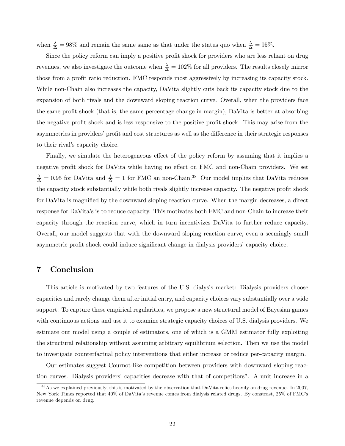when  $\frac{\lambda}{\Delta} = 98\%$  and remain the same same as that under the status quo when  $\frac{\lambda}{\Delta} = 95\%$ .

Since the policy reform can imply a positive profit shock for providers who are less reliant on drug revenues, we also investigate the outcome when  $\frac{\lambda}{\Delta} = 102\%$  for all providers. The results closely mirror those from a profit ratio reduction. FMC responds most aggressively by increasing its capacity stock. While non-Chain also increases the capacity, DaVita slightly cuts back its capacity stock due to the expansion of both rivals and the downward sloping reaction curve. Overall, when the providers face the same profit shock (that is, the same percentage change in margin), DaVita is better at absorbing the negative profit shock and is less responsive to the positive profit shock. This may arise from the asymmetries in providers' profit and cost structures as well as the difference in their strategic responses to their rival's capacity choice.

Finally, we simulate the heterogeneous effect of the policy reform by assuming that it implies a negative profit shock for DaVita while having no effect on FMC and non-Chain providers. We set  $\frac{\lambda}{\Delta} = 0.95$  for DaVita and  $\frac{\lambda}{\Delta} = 1$  for FMC an non-Chain.<sup>38</sup> Our model implies that DaVita reduces the capacity stock substantially while both rivals slightly increase capacity. The negative profit shock for DaVita is magnified by the downward sloping reaction curve. When the margin decreases, a direct response for DaVitaís is to reduce capacity. This motivates both FMC and non-Chain to increase their capacity through the reaction curve, which in turn incentivizes DaVita to further reduce capacity. Overall, our model suggests that with the downward sloping reaction curve, even a seemingly small asymmetric profit shock could induce significant change in dialysis providers' capacity choice.

## 7 Conclusion

This article is motivated by two features of the U.S. dialysis market: Dialysis providers choose capacities and rarely change them after initial entry, and capacity choices vary substantially over a wide support. To capture these empirical regularities, we propose a new structural model of Bayesian games with continuous actions and use it to examine strategic capacity choices of U.S. dialysis providers. We estimate our model using a couple of estimators, one of which is a GMM estimator fully exploiting the structural relationship without assuming arbitrary equilibrium selection. Then we use the model to investigate counterfactual policy interventions that either increase or reduce per-capacity margin.

Our estimates suggest Cournot-like competition between providers with downward sloping reaction curves. Dialysis providersí capacities decrease with that of competitorsî. A unit increase in a

 $38$  As we explained previously, this is motivated by the observation that DaVita relies heavily on drug revenue. In 2007, New York Times reported that  $40\%$  of DaVita's revenue comes from dialysis related drugs. By constrast, 25% of FMC's revenue depends on drug.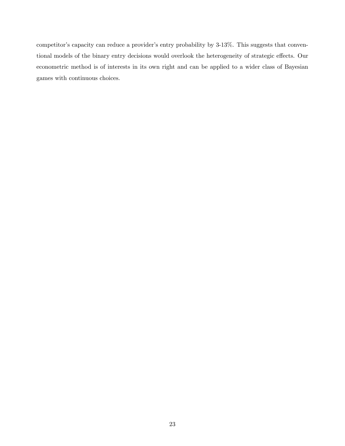competitor's capacity can reduce a provider's entry probability by 3-13%. This suggests that conventional models of the binary entry decisions would overlook the heterogeneity of strategic effects. Our econometric method is of interests in its own right and can be applied to a wider class of Bayesian games with continuous choices.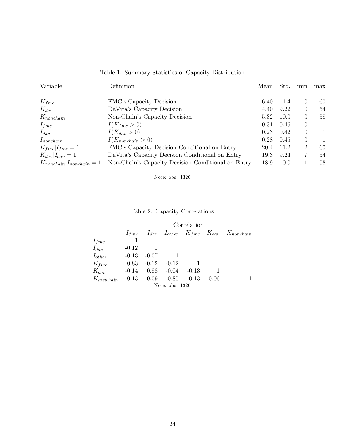| Variable                          | <b>Definition</b>                                  | Mean | Std. | min      | max |
|-----------------------------------|----------------------------------------------------|------|------|----------|-----|
| $K_{fmc}$                         | FMC's Capacity Decision                            | 6.40 | 11.4 | $\theta$ | 60  |
| $K_{dav}$                         | DaVita's Capacity Decision                         | 4.40 | 9.22 | $\theta$ | 54  |
| $K_{nonchain}$                    | Non-Chain's Capacity Decision                      | 5.32 | 10.0 | $\theta$ | 58  |
| $I_{frac}$                        | $I(K_{func} > 0)$                                  | 0.31 | 0.46 | $\theta$ |     |
| $I_{dav}$                         | $I(K_{dav} > 0)$                                   | 0.23 | 0.42 | $\theta$ |     |
| $I_{nonchain}$                    | $I(K_{nonchain} > 0)$                              | 0.28 | 0.45 | $\theta$ |     |
| $K_{func}$ $I_{func} = 1$         | FMC's Capacity Decision Conditional on Entry       | 20.4 | 11.2 | 2        | 60  |
| $K_{dav}$ $I_{dav} = 1$           | DaVita's Capacity Decision Conditional on Entry    | 19.3 | 9.24 |          | 54  |
| $K_{nonchain}$ $I_{nonchain} = 1$ | Non-Chain's Capacity Decision Conditional on Entry | 18.9 | 10.0 |          | 58  |

Table 1. Summary Statistics of Capacity Distribution

Note: obs=1320

Table 2. Capacity Correlations

|                | Correlation |                |         |         |         |                                                           |  |  |  |  |  |  |  |
|----------------|-------------|----------------|---------|---------|---------|-----------------------------------------------------------|--|--|--|--|--|--|--|
|                | $1_{frac}$  |                |         |         |         | $I_{dav}$ $I_{other}$ $K_{func}$ $K_{dav}$ $K_{nonchain}$ |  |  |  |  |  |  |  |
| $I_{fmc}$      |             |                |         |         |         |                                                           |  |  |  |  |  |  |  |
| $I_{dav}$      | $-0.12$     |                |         |         |         |                                                           |  |  |  |  |  |  |  |
| $I_{other}$    | $-0.13$     | $-0.07$        |         |         |         |                                                           |  |  |  |  |  |  |  |
| $K_{frac}$     | 0.83        | $-0.12$        | $-0.12$ |         |         |                                                           |  |  |  |  |  |  |  |
| $K_{dav}$      | $-0.14$     | 0.88           | $-0.04$ | $-0.13$ |         |                                                           |  |  |  |  |  |  |  |
| $K_{nonchain}$ |             | $-0.13 - 0.09$ | 0.85    | $-0.13$ | $-0.06$ |                                                           |  |  |  |  |  |  |  |

Note: obs=1320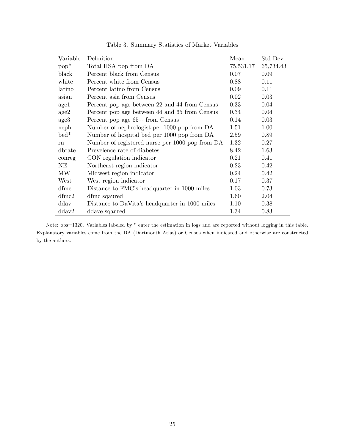| Variable      | Definition                                      | Mean      | Std Dev   |
|---------------|-------------------------------------------------|-----------|-----------|
| $pop^*$       | Total HSA pop from DA                           | 75,531.17 | 65,734.43 |
| black         | Percent black from Census                       | 0.07      | 0.09      |
| white         | Percent white from Census                       | 0.88      | 0.11      |
| latino        | Percent latino from Census                      | 0.09      | 0.11      |
| asian         | Percent asia from Census                        | 0.02      | 0.03      |
| $\text{age}1$ | Percent pop age between 22 and 44 from Census   | 0.33      | 0.04      |
| age2          | Percent pop age between 44 and 65 from Census   | 0.34      | 0.04      |
| age3          | Percent pop age 65+ from Census                 | 0.14      | 0.03      |
| neph          | Number of nephrologist per 1000 pop from DA     | 1.51      | 1.00      |
| $bed*$        | Number of hospital bed per 1000 pop from DA     | 2.59      | 0.89      |
| rn            | Number of registered nurse per 1000 pop from DA | 1.32      | 0.27      |
| dbrate        | Prevelence rate of diabetes                     | 8.42      | 1.63      |
| conreg        | CON regulation indicator                        | 0.21      | 0.41      |
| NE            | Northeast region indicator                      | 0.23      | 0.42      |
| MW            | Midwest region indicator                        | 0.24      | 0.42      |
| West          | West region indicator                           | 0.17      | 0.37      |
| dfmc          | Distance to FMC's headquarter in 1000 miles     | 1.03      | 0.73      |
| $d$ fmc $2$   | dfmc sqaured                                    | 1.60      | 2.04      |
| ddav          | Distance to DaVita's headquarter in 1000 miles  | 1.10      | 0.38      |
| ddav2         | ddave sqaured                                   | 1.34      | 0.83      |

Table 3. Summary Statistics of Market Variables

Note: obs=1320. Variables labeled by \* enter the estimation in logs and are reported without logging in this table. Explanatory variables come from the DA (Dartmouth Atlas) or Census when indicated and otherwise are constructed by the authors.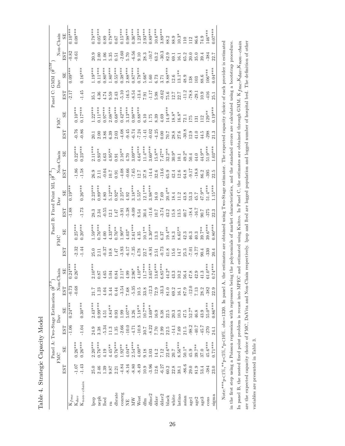Table 4. Strategic Capacity Model Table 4. Strategic Capacity Model

|                                                            | Non-Chain       | SE)            | $0.10***$  | $0.08***$          |                          | $0.78***$ | $0.05***$ | 0.89         | $0.78***$                         | $0.67\,$        | $0.15***$ | $0.98***$        | $0.36***$   | $1.23***$                                   | $2.93***$                                            | $0.89***$                                                    | $10.6***$         | $3.89***$                                                   | 88.2                                                           | $\frac{88.9}{10.3}$                                         |                                                     | 110     | 112      | 86.6            | 74.9      | 146***    | $0.07***$ |                                                                                                                                                                                  |
|------------------------------------------------------------|-----------------|----------------|------------|--------------------|--------------------------|-----------|-----------|--------------|-----------------------------------|-----------------|-----------|------------------|-------------|---------------------------------------------|------------------------------------------------------|--------------------------------------------------------------|-------------------|-------------------------------------------------------------|----------------------------------------------------------------|-------------------------------------------------------------|-----------------------------------------------------|---------|----------|-----------------|-----------|-----------|-----------|----------------------------------------------------------------------------------------------------------------------------------------------------------------------------------|
|                                                            |                 | EST            | $-0.82$    | 0.61               |                          | 20.9      | 2.00      | 0.06         | 5.35                              | 0.51            | 2.60      | 5.70             | $-6.56$     | 0.10                                        | 28.3                                                 | $-10.7$                                                      | $63.2$<br>$-30.3$ |                                                             | 82.9                                                           | 59.1                                                        | $16.1$<br>$35.0$<br>$20.0$                          |         |          | 35.0            | 39.4      | 384       | 22.7      |                                                                                                                                                                                  |
| Panel C: GMM $(\hat{\boldsymbol{\theta}}^{GM}$             | Dav             | SE <sub></sub> | $0.09**$   |                    | $0.16***$                | $1.19***$ | $0.11***$ | $0.80***$    | $1.80***$                         | $0.55***$       | $0.38***$ | $2.88***$        | $0.87***$   | $0.78***$                                   | $5.66*$                                              | $1.60\,$                                                     | 3.73              | 3.71                                                        | $9.88***$                                                      | $\frac{12.6}{13.1}$ **                                      |                                                     | 48.9    | 38       | 103             | 88.6      | $106***$  | $0.04***$ |                                                                                                                                                                                  |
|                                                            |                 | EST            | $-2.17$    |                    | $-1.45$                  | 35.1      | 4.36      | 4.74         | 9.59                              | 2.43            | $-5.10$   | $-16.5$          | 8.54        | $-13.4$                                     |                                                      | $\begin{array}{c} 7.91 \\ -1.17 \end{array}$                 | 5.98              | $-0.62$                                                     | 75.6                                                           | $\begin{array}{c} 12.7 \\ 22.7 \\ 11.2 \\ 78.8 \end{array}$ |                                                     |         |          | .29.1           | 10.9      | 416       | 25.1      |                                                                                                                                                                                  |
|                                                            | <b>FMC</b>      | SE <sub></sub> |            | $0.10***$          | $0.17***$                | $1.22***$ | $0.11***$ | $0.97***$    | $2.08***$                         | $0.68***$       | $0.42***$ | $3.13***$        | $0.98***$   | $0.88***$                                   | $6.10\,$                                             | 1.75                                                         | 8.39              | 4.69                                                        | $14.9***$                                                      |                                                             | $18.8*$<br>16.8*                                    | 72.1    | 175      | $\overline{31}$ | 112       | $129**$   | $0.19***$ |                                                                                                                                                                                  |
|                                                            |                 | EST            |            | 0.76               | $-0.86$                  | 20.1      | 2.00      | 3.86         | $6.39\,$                          | $2.03\,$        | $-4.08$   | $-9.45$          | $-6.74$     | $-7.24$                                     | $-1.41$                                              | $-0.02$<br>$-4.25$                                           |                   | $0.00\,$                                                    | $7.0\,$                                                        | $28.8$<br>$27.6$<br>$-30.8$<br>$12.9$                       |                                                     |         |          | $11.0$          | 44.5      | 298       | 21.3      |                                                                                                                                                                                  |
|                                                            | Non-Chain       | SE <sub></sub> |            | $0.22***$          | $0.23***$                | $2.11***$ | $0.93**$  | 1.63         | $1.95***$                         | 0.91            | $2.16**$  | 1.70             | $3.09***$   | $4.64***$                                   | $11.4***$                                            | $3.60***$                                                    | $15.8**$          | $7.47**$<br>32.2**<br>30.9*                                 |                                                                |                                                             | $10.1$<br>$19.2*$                                   |         | 50.4     | 14.0            | $44.9**$  | $51.9***$ | $-03***$  |                                                                                                                                                                                  |
|                                                            |                 | EST            |            | $1.86\,$           | $-1.58$                  | 26.9      | 2.11      | $-0.04$      | $10.7\,$                          | 0.91            | $-4.08$   | $-0.66$          | $-7.65$     |                                             | $\begin{array}{c} 12.7 \\ 37.8 \\ -14.4 \end{array}$ |                                                              |                   | $\begin{array}{c} 32.6 \\ -13.6 \\ 65.9 \end{array}$        |                                                                | $42.4$<br>12.6                                              |                                                     | 64.8    |          | $-18.8$         | 86.2      | 395       | 22.5      |                                                                                                                                                                                  |
| Panel B: Fixed Point ML $(\hat{\boldsymbol{\theta}}^{FL}.$ | $_{\text{Dav}}$ | SE <sub></sub> | $0.19**$   |                    | $0.26***$                | $2.23***$ | $0.89***$ | $4.80$       | $5.12***$                         | $0.92*$         | $2.25***$ | 4.92             | $3.18***$   | $5.55*$                                     | $12.1***$                                            | $3.98***$                                                    | $16.0\,$          | 7.69                                                        | $20.4***$                                                      | 18.4                                                        | 1.2                                                 | 43.8    | 53.3     | 15.7            | 47.9**    | 51.4***   | $1.15**$  |                                                                                                                                                                                  |
|                                                            |                 | EST            | $-1.88$    |                    | $-1.73$                  | 28.3      | 2.34      | $-0.55$      | 12.1                              | 1.47            | 3.91      | 5.38             | $-8.09$     | 8.54                                        | 30.4                                                 | $-11.6$                                                      |                   | $\frac{10.7}{-3.74}$                                        |                                                                | $15.8$<br>13.5                                              |                                                     | $40.7$  | $-18.4$  | $-16.7$         | 7.0E      | 375       | 22.3      |                                                                                                                                                                                  |
|                                                            |                 | SE <sub></sub> |            | $0.25***$          | $0.20***$                | $1.59***$ | $0.76***$ | 4.00         | $4.33***$                         | $0.76***$       | $1.90**$  | $4.03*$          | $2.61***$   | 4.35                                        | $10.1***$                                            | $3.30***$                                                    | 13.3              |                                                             | $\begin{array}{c} 6.37 \\ 19.4 \\ 18.3 \\ 8.65 \\ \end{array}$ |                                                             |                                                     | $\,2.3$ | 46.3     | $\pm 0.3$       | $39.7***$ | $39.6***$ | $0.80***$ | the estimates are obtained using Two-Stage estimator. The expected capacity choice of each provider is estimated                                                                 |
|                                                            |                 | EST            |            | 2.32               | $-1.44$                  | 25.0      | 2.11      | $-0.37$      | 10.8                              | 147             | $-3.93$   | $-6.17$          | $7.35\,$    | 4.78                                        | 22.7                                                 | 8.91                                                         | 2.51              | $-0.73$                                                     | $41.8$                                                         | 15.6                                                        | 14.7                                                | 25.3    | 7.01     | 3.77            | 0.4       | 330       |           |                                                                                                                                                                                  |
|                                                            | Non-Chain       | SE             | $0.24***$  | $0.26***$          |                          | $2.10***$ | $0.87\,$  |              | $4.65\phantom{}$ $5.04\phantom{}$ | $0.84$<br>2.11* |           | $4.99\,$         |             | $2.96*$<br>4.10**                           | $11.7***$                                            | $3.65***$                                                    | $13.6***$         | $6.85***$                                                   | $44.2*$                                                        |                                                             | $\begin{array}{c} 43.3 \\ 10.2 \\ 56.4 \end{array}$ |         | $47.8$   | $42.9\,$        | $41.3$    | $61.0***$ | $0.74***$ |                                                                                                                                                                                  |
|                                                            |                 | EST            | $-0.73$    | $-0.68$            |                          |           | 1.23      | 4.04         | 3.44                              | 0.44            | $-3.54$   | 7.68             | $-5.35$     | $\begin{array}{c} 10.5 \\ 33.8 \end{array}$ |                                                      | $-12.3$                                                      | $72.9$<br>$-33.3$ |                                                             | $81.0\,$                                                       | $69.2\,$                                                    | 16.1<br>87.9                                        |         | $-12.0$  | 7.13            | 28.2      | $-382$    | 22.9      |                                                                                                                                                                                  |
|                                                            | $_{\text{Dav}}$ | SE             | $0.24***$  |                    | $0.30***$                | $2.43***$ | $0.99***$ | 4.51         | $4.84***$                         | 0.93            | 1.99      | $5.07***$        | 3.26        | $5.18***$                                   | $10.7***$<br>3.69**                                  |                                                              | 16.9              | 8.38                                                        | $\begin{array}{c} 22.5 \\ 20.3 \end{array}$                    |                                                             | $10.3\,$                                            | 47.5    | $52.7*$  | 46.8            | 43.9      | 55.0***   | $0.86***$ |                                                                                                                                                                                  |
|                                                            |                 | EST            | $-1.06$    |                    | $-1.04$                  | 24.9      | 3.38      | $-5.34$      | 11.3                              | 1.35            | $-2.66$   | $-10.0$          | $-4.71$     | $-10.8$                                     |                                                      | $\begin{array}{l} 30.7 \\ -8.22 \\ 7.70 \\ 2.99 \end{array}$ |                   |                                                             | $22.5\,$                                                       | $-14.1$                                                     | $7.69\,$                                            | $21.5$  | $-98.2$  | $-40.7$         | $-45.7$   | $-270$    |           |                                                                                                                                                                                  |
| Panel A: Two-Stage Estimation $(\hat{\theta}^{TS})$        | FMC             | $_{\rm SE}$    |            | $0.26***$          | $0.26***$                | $2.20***$ | $0.76***$ | 4.19         | $4.45**$                          | $0.76***$       | $1.92**$  | $4.04***$        | $2.54***$   | $4.00**$                                    | 9.18                                                 | 3.03                                                         | 14.2              | 7.12                                                        | $22.6***$                                                      | $20.7\,$                                                    | $8.56***$                                           | $50.1*$ | 45.9     | $39.7**$        | 37.0      | 45.6***   | $0.71***$ | Note: *** $p \lt 1\%$ , ** $p \lt 5\%$ , * $p \lt 10\%$ . obs=1320. In panel A,                                                                                                  |
|                                                            |                 | EST            |            | 1.07               | $-1.43$                  | 25.0      | 2.46      | 1.39         | 9.87                              | 2.21            | $-4.84$   | $-8.16$          | $-8.80$     | $-8.49$                                     |                                                      | $10.9$<br>$-3.96$                                            |                   | $\begin{array}{c} 12.6 \\ -6.27 \\ \hline 60.2 \end{array}$ |                                                                | $22.8\,$                                                    | $38.1\,$                                            | $-86.6$ | $29.0\,$ | 81.9            | 53.4      | $-384$    | 23.0      |                                                                                                                                                                                  |
|                                                            |                 |                | $K_{frac}$ | $\mathbf{K}_{dav}$ | $\mathrm{K}_{non-chain}$ | lpop      |           | neph<br>lbed | $\overline{a}$                    | dbrate          | conreg    | $\overline{\Xi}$ | $_{\rm MW}$ | West                                        | $_{\rm{dfm}}$                                        | $d$ fmc $2$                                                  | $_{\rm dadv}$     | $_{\rm ddav2}$                                              | black                                                          | white                                                       | latino                                              | asian   | agel     | age2            | age3      | cons      | sigma     | in the first step using a Poisson regression with regressors being the polynomials of market characteristics, and the standard errors are calculated using a bootstrap procedure |

In panel B, the nested fixed point problem is recast into MPEC and estimated using Knitro. In Panel C, the estimates are obtained through GMM. Kfmc;Kdav;Knon–chain are the expected capacity choice of FMC, DaVita and Non-Chain respectively. Ipop and lbed are logged population and logged number of hospital bed. The definition of other

In panel B, the nested fixed point problem is recast into MPEC and estimated using Knitro. In Panel C, the estimates are obtained through GMM.  $K_{frac}, K_{max}-chain$ are the expected capacity choice of FMC, DaVita and Non-Chain respectively. Ipop and logged population and logged number of hospital bed. The definition of other

variables are presented in Table 3.

variables are presented in Table 3.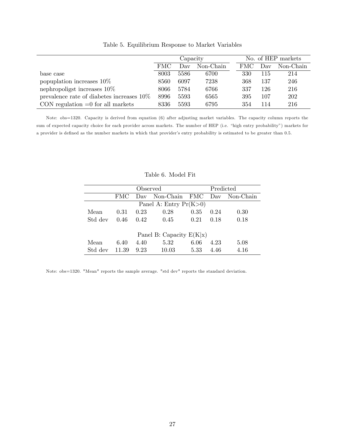|                                              |            | Capacity |           |      | No. of HEP markets |           |
|----------------------------------------------|------------|----------|-----------|------|--------------------|-----------|
|                                              | <b>FMC</b> | Day      | Non-Chain | FMC. | Day                | Non-Chain |
| base case                                    | 8003       | 5586     | 6700      | 330  | 115                | 214       |
| popuplation increases 10\%                   | 8560       | 6097     | 7238      | 368  | 137                | 246       |
| nephropoligst increases $10\%$               | 8066       | 5784     | 6766      | 337  | 126                | 216       |
| prevalence rate of diabetes increases $10\%$ | 8996       | 5593     | 6565      | 395  | 107                | 202       |
| CON regulation $=0$ for all markets          | 8336       | 5593     | 6795      | 354  | 114                | 216       |

Table 5. Equilibrium Response to Market Variables

Note: obs=1320. Capacity is derived from equation (6) after adjusting market variables. The capacity column reports the sum of expected capacity choice for each provider across markets. The number of HEP (i.e. "high entry probability") markets for a provider is defined as the number markets in which that provider's entry probability is estimated to be greater than 0.5.

|         |            | Observed | Predicted                       |      |      |      |  |
|---------|------------|----------|---------------------------------|------|------|------|--|
|         | <b>FMC</b> |          | Day Non-Chain FMC Day Non-Chain |      |      |      |  |
|         |            |          | Panel A: Entry $Pr(K>0)$        |      |      |      |  |
| Mean    | 0.31       | 0.23     | 0.28                            | 0.35 | 0.24 | 0.30 |  |
| Std dev | 0.46       | 0.42     | 0.45                            | 0.21 | 0.18 | 0.18 |  |
|         |            |          |                                 |      |      |      |  |
|         |            |          | Panel B: Capacity $E(K x)$      |      |      |      |  |
| Mean    | 6.40       | 4.40     | 5.32                            | 6.06 | 4.23 | 5.08 |  |
| Std dev | 11.39      | 9.23     | 10.03                           | 5.33 | 4.46 | 4.16 |  |

#### Table 6. Model Fit

Note: obs=1320. "Mean" reports the sample average. "std dev" reports the standard deviation.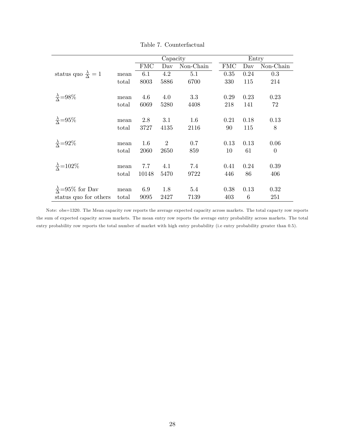|       |                                                         |                                                   |                                                             |                                                              | Entry                                                                                               |                                                |
|-------|---------------------------------------------------------|---------------------------------------------------|-------------------------------------------------------------|--------------------------------------------------------------|-----------------------------------------------------------------------------------------------------|------------------------------------------------|
|       | $\Gamma$ MC                                             | Day                                               | $Non-Chain$                                                 |                                                              | Day                                                                                                 | Non-Chain                                      |
| mean  | 6.1                                                     | 4.2                                               | 5.1                                                         |                                                              | 0.24                                                                                                | 0.3                                            |
| total | 8003                                                    | 5886                                              | 6700                                                        |                                                              | 115                                                                                                 | 214                                            |
|       |                                                         |                                                   |                                                             |                                                              |                                                                                                     |                                                |
|       |                                                         |                                                   |                                                             |                                                              |                                                                                                     | 0.23                                           |
|       |                                                         |                                                   |                                                             |                                                              |                                                                                                     | 72                                             |
| mean  | 2.8                                                     | 3.1                                               | $1.6\,$                                                     |                                                              | 0.18                                                                                                | 0.13                                           |
| total | 3727                                                    | 4135                                              | 2116                                                        |                                                              | 115                                                                                                 | 8                                              |
|       |                                                         |                                                   |                                                             |                                                              |                                                                                                     | 0.06                                           |
| total | 2060                                                    | 2650                                              | 859                                                         |                                                              | 61                                                                                                  | $\theta$                                       |
|       |                                                         |                                                   |                                                             |                                                              |                                                                                                     |                                                |
|       |                                                         |                                                   |                                                             |                                                              |                                                                                                     | 0.39                                           |
|       |                                                         |                                                   |                                                             |                                                              |                                                                                                     | 406                                            |
|       |                                                         |                                                   |                                                             |                                                              |                                                                                                     | 0.32                                           |
|       |                                                         |                                                   |                                                             |                                                              |                                                                                                     | 251                                            |
|       | mean<br>total<br>mean<br>mean<br>total<br>mean<br>total | 4.6<br>6069<br>1.6<br>7.7<br>10148<br>6.9<br>9095 | 4.0<br>5280<br>$\overline{2}$<br>4.1<br>5470<br>1.8<br>2427 | Capacity<br>3.3<br>4408<br>0.7<br>7.4<br>9722<br>5.4<br>7139 | $\Gamma$ MC<br>0.35<br>330<br>0.29<br>218<br>0.21<br>90<br>0.13<br>10<br>0.41<br>446<br>0.38<br>403 | 0.23<br>141<br>0.13<br>0.24<br>86<br>0.13<br>6 |

Table 7. Counterfactual

Note: obs=1320. The Mean capacity row reports the average expected capacity across markets. The total capacty row reports the sum of expected capacity across markets. The mean entry row reports the average entry probability across markets. The total entry probability row reports the total number of market with high entry probability (i.e entry probability greater than 0.5).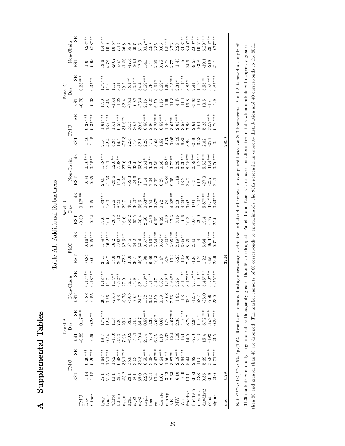Supplemental Tables A Supplemental Tables  $\blacktriangleleft$ 

Table A1. Additional Robustness

Table A1. Additional Robustness

 $0.28***$  $8.40***$  $2.60***$  $10.5***$  $0.23***$  $5.29***$  $29.3***$  $0.77***$ SE  $1.45***$  $3.03***$ EST SE EST SE EST SE EST SE EST SE EST SE EST SE EST SE EST SE Dav -1.14 0.23\*\*\* -0.01 94.01 9.4.01 0.84 0.038 0.84 -1.01\*\*\*\* -0.01 0.84 0.038 0.84 -1.05 0.28\*\*\* -1.14 0.17\* Other -1.18 0.29\*\*\* -0.60 0.28\*\* -0.55 0.18\*\*\* -0.92 0.25\*\*\* -0.22 0.25 -0.35 0.15\*\* -1.45 0.37\*\*\* -0.93 0.37\*\* -0.93 0.28\*\*\*  $\frac{1}{25}.1$  1.64\*\*\* 1.64\*\*\* 1.64\*\*\* 21.54\*\*\* 25.1 1.83\*\*\*\* 21.83\*\*\*\* 21.63\*\*\*\* 21.64\*\* 21.64\*\*\* 147\*\*\* 1.9.7 1.47\*\*\* 147\*\* 21.64\*\* 21.64\*\*\* 21.64\*\* 21.64\*\* 21.64\*\* 21.64\*\* 21.64\*\* 21.64\*\* 21.64\*\* 21.64\*\* 21.64\*\* 21.64\*\* 2  $0.57***$  $\rm{West}$   $^{-10.0}_{-1.0}$   $^{-11.0}_{-1.0}$   $^{-11.8}_{-1.1}$   $^{-11.8}_{-1.0}$   $^{-11.8}_{-1.0}$   $^{-11.8}_{-1.0}$   $^{-11.8}_{-1.0}$   $^{-11.8}_{-1.0}$   $^{-11.8}_{-1.0}$   $^{-11.8}_{-1.0}$   $^{-11.8}_{-1.0}$   $^{-11.8}_{-1.0}$   $^{-11.8}_{-1.0}$   $^{-11.8}_{-1.0}$   $^{-11.8}_{-1.0}$   $^{$ fmcdist 13.29.1 8.29.1 8.8.2.4 14.36.1 8.3.29 8.37.29 8.37.2 8.29 8.36 8.29 8.29 8.198 1.202 1.202 1.202 1.202<br>1.47 8.9918 2.18.202 8.02.202 1.202 1.202 1.202 1.202 1.202 1.202 1.202 1.202 1.202 1.202 1.202 1.202 1.202 1.  $\frac{\text{fmdd}}{\text{fmdd}}$  -3.53 2.82 -2.16 2.94 -1.83 2.81\*\*\* -1.83 2.80 -0.64 -2.80 2.80 -2.80 -2.94 -2.59 2.60\*\*\* -2.16 2.94 -2.16 2.60 2.94 -2.16 2.60 2.60\*\*\*  $\frac{\text{daydist}}{\text{daydist}}$  2.38 11.5 11.5 11.6 11.6 11.24 11.4 11.4 11.4 11.4 11.29 11.4 11.2\* -3.53 11.2\* -3.53 11.5\* -3.53 11.5\* -3.53 11.5\* -3.53 11.2\* -3.53 11.5\* -3.53 11.5\* -3.53 11.5\* -3.53 11.5\* -3.53 11.5\* -4.3.8 11.5\* -1.  ${\rm d} {\rm ar} {\rm dist2}$  0.35 5.69 5.72\*\*\* 1.22 5.64 5.64 5.87\*\*\* 1.22 5.52\*\*\* 2.82 5.52\*\* 2.82 5.55\*\* 5.29\*\* 5.29\*\* \*\*\*\*\* 05.8 35.8 35.8\*\*\*\* -260 30.0\*\*\*\* -201 32.0\*\*\*\* -201 32.0\*\*\*\* -201.0\*\*\*\* -201.0\*\*\*\* -201.0\*\*\*\* -201.0\*\*\*\* sigma 23.5 0.723.5 0.87\*\*\*\* 23.5 0.83 23.5 0.83\*\*\* 24.1 0.74.1 24.1 0.764 24.1 0.764 23.0 0.874 24.1 0.774.1 0<br>Sigma 21.1 0.23.5 0.87\*\*\*\* 21.1 0.77\*\* 24.1 0.77\*\*\* 21.1 0.784 23.1 0.79.1 0.79.1 0.784 21.1 0.78.1 0.27.1 0.7  $1.54***$ neph 2.23 0.55\*\*\* 2.54 2.54 0.59\*\* 1.14 0.61\* 1.32 0.59\* 1.32 0.59\* 1.32 0.59\*\* 2.50\*\*\* 2.50\*\*\* 2.54 0.59\*\* 2.54 0.57\*\* conreg -3.42 1.56\* -2.37 -2.37 -2.37 -3.76 -3.76 -3.88 -3.89 -3.76 -3.76 -3.76 -3.79 -3.79 -3.70 -3.70 -3.70 -3.70 -3.70 -3.70 -3.70 -3.70 -3.70 -3.70 -3.70 -3.70 -3.70 -3.79 -3.79 -3.79 -3.79 -3.70 -3.70 -3.70 -3.70 -3.70  $\mbox{Non-Chain}$  $10.6\,{*}$ 7.13  $\frac{26.8}{35.9}$  $30.7$  $2.99$  $3.\overline{35}$ <br>0.65 3.73 2.23 FMC Dav Non-Chain FMC Dav Non-Chain FMC Dav Non-Chain  $10.9$ white 10.2 15.2 -17.6 11.8 -23.3 14\*\* 11.4\*\* 11.4\*\* 11.4\*\* 11.8 -20.6 -20.6 12.6 12.6 12.6 12.7 13.2 -13.4 11.2 -20.7 10.6\*  $31.6$ black 51.5 15.1\*\*\* 9.54 12.4 0.76 11.7 58.7 16.2\*\*\* 10.0 13.0 -1.53 12.1 42.4 13.0\*\*\* 8.45 11.9 4.78 10.9 latino 26.5 6.98\*\*\* 3.23 7.85 14.8 6.92\* 14.8 6.20 14.8 92.8 92.3 8.20 14.8 7.85 14.8 7.85 7.85 7.85 7.85 7.85 asian -85.2 33.1\*\*\* 7.93 29.3 29.2 -0.75 27.0 -72.2 32.3\*\* 16.6 29.7 -72.27 -2.27 29.2 -1.87 -1.87 -1.86 29.2 -1.86 age1 27.1 36.9 -60.9 -60.9 38.2 -60.9 -60.2 37.2 -61.4 37.2 37.2 37.3 37.2 22.4 34.3 -61.3 22.4 34.3 -61.4 37.2 and and also 2.00 - 1.00 - 1.00 - 1.00 - 1.00 - 1.00 - 1.00 - 1.00 - 1.00 - 1.00 - 1.00.0 - 1.00.7 - 1.00.0 - 1<br>Discouss and also - 1.00 - 1.00 - 1.00 - 1.00 - 1.00 - 1.00 - 1.00 - 1.00 - 1.00 - 1.00.7 - 1.00.0 - 1.00.0 age3 36.0 32.8 -20.4 34.7 24.7 32.1 46.9 33.4 -20.4 36.3 27.7 33.0 32.1 30.6 -26.4 34.4 12.9 31.6 lbed 5.53 3.08\* -2.14 3.32 6.12 3.11\*\* 6.86 3.16\*\* -2.76 3.50 7.04 3.20\*\* 4.17 2.86 -4.25 3.30 4.41 2.99 rn 10.4 3.47\*\*\* 6.35 3.69\* 3.59 3.47 10.3 3.54\*\*\* 6.62 3.87\* 3.02 3.58 8.68 3.23\*\*\* 6.70 3.61\* 3.26 3.35 dbrate 1.67 0.64\*\*\* 1.13 0.65 0.89 0.72 0.65 0.89 0.89 0.89 0.89 0.89 0.89 0.69 0.69 0.68 1.15 0.65 0.75 0.65 NE -7.63 3.87\*\* -12.4 4.07\* -12.4 4.07\* -17.4 4.22\*\*\* -17.3 4.22\*\*\* -0.05 3.05 3.05 3.73 -12.4 4.12.4 4.12.4 4.12.4 4.12.4 4.15\*\*\* -9.27 -17.4 4.15\*\*\* -17.4 4.12.4 4.12.4 4.12.4 4.17.4 4.17.4 4.17.4 4.17.4 4.17.4 4.17.4 4. MW -6.10 2.18\*\*\* -3.09 2.36 -1.94 2.26 -6.23 2.19\*\*\* -3.46 2.43 -1.18 2.29 -6.49 2.03\*\*\* -4.47 2.34\* -1.43 2.23 EST  $-1.86$ <br> $-47.4$  $-3.70$  $-9.58$  $-1.05$  $-0.93$  $\frac{18.6}{4.78}$ 5.67  $-26.1$  $3.26$ <br> $0.75$  $-1.43$  $11.5$ 24.6  $\!-19.1$  $-218$ 12.9  $4.41\,$ 3.77 43.8  $21.1$ 1.41  $0.87***$  $\overline{\rm SE}$  $0.59***$  $1.79***$  $4.15***$  $35.0***$  $4.14***$  $11.2*$ <br>5.55\*\* FMC -0.82 0.17\*\*\* -0.69 0.17\*\*\* -0.75 0.23\*\*\*  $29.2$ <br> $38.1***$  $33.1***$  $0.37***$  $2.34*$  $0.69*$  $3.61*$  $8.85*$  $\begin{array}{c} 11.9 \\ 11.2 \end{array}$  $3.30$ 34.4 1.69 2.94 8.04  $0.23$ Panel C Panel A Panel B Panel B Panel B Panel C Panel C Panel C Panel C Panel C Panel C Panel C Panel C Panel C Panel C  $_{\mathrm{Dav}}$  $-0.75$  $-11.3$ <br> $-4.47$ EST  $-0.93$  $-1.22$ <br>  $32.4$ <br>  $-78.1$ <br>  $-69.7$ <br>  $-26.4$  $-4.25$  $-1.60$  $\overline{11.1}$  $-3.83$  $\begin{array}{c} 19.5 \\ 13.5 \end{array}$  $-13.4$ 2.16  $1.15$ 16.8  $17.0$ <br>8.45  $6.70\,$  $-151$ 21.9  $6.59***$  $3.23**$ <br> $0.59**$  $2.03***$  $0.37***$  $1.61***$  $13.0***$  $0.50***$  $32.9***$  $0.70***$ SE  $0.28***$  $31.6**$ <br> $34.3$  $3.67**$  $1.46^*$  $3.57*$ 13.1  $30.6$ 2.86  $30.7$ 2.64  $10.4$  $5.28$ 7.98 **FMC** EST  $-1.46$  $-1.45$  $-77.3$  $-2.79$  $-9.05$  $-6.49$  $-6.85$  $-2.80$  $-3.53$  $21.6\,$ 4.95  $21.6$ 2.26  $4.17$  $\frac{8.68}{1.52}$ 8.99 2.82 20.2 2930 32.1  $42.4$ 19.4  $22.4$  $-293$ obs  $3129$   $3129$  $11.2***$ <br>5.52\*\*  $\rm{SB}$  $0.16***$  $1.48***$  $8.18***$  $2.59***$  $31.4***$  $0.76***$  $3.20***$  $12.1$ <br> $12.0**$  $7.08**$  $1.63**$ <br>3.72\*\*  $0.15***$  $3.20^{**}$  $\mbox{Non-Chain}$  $0.61*$  $\frac{27.6}{37.2}$  $33.0$  $\begin{array}{c} 3.58 \\ 0.68 \end{array}$ 2.29 33.0 EST  $-1.53$ <br> $-25.6$  $-24.6$  $-0.64$  $-0.35$  $-2.27$ <br> $-39.3$  $-3.88$  $-1.18$  $61.9$ <br> $-27.3$ 14.6  $-13.1$  $20.5$  $27.7$ <br>1.14 7.04 3.02 0.27  $0.05$ 13.2 34.2  $-257$ 24.1  $\rm SE$  $1.78$ <br> $4.22***$  $37.1***$  $0.63***$  $0.83***$  $4.29***$  $5.87***$  $1.83***$  $12.0**$  $36.0*$  $3.87*$  $8.20$ 3.50  $0.72$ 2.43  $13.0$  $12.6$  $29.7$ <br> $40.1$  $36.3$  $9.02$ 3.04 0.25 Panel B  $0.17$  $_{\mathrm{Dav}}$ EST  $-0.22$  $-20.3$  $-1.42$  $\begin{array}{c} 16.6 \\ -65.2 \end{array}$  $-65.5$  $-2.76$  $-2.59$ <br> $-17.3$  $-3.46$  $16.6\,$  $-29.0$ <br>19.4  $0.69$  $20.4$  $\begin{array}{c} 6.62 \\ 0.89 \end{array}$  $-0.64$  $-177$ <br>25.0  $19.6$ <br> $10.0$ 2.50  $10.3$  $0.25***$  $1.58***$  $7.02***$  $0.57***$  $3.95***$  $2.19***$  $0.71***$ SE  $16.2***$  $3.54***$  $0.65***$  $3.65***$  $36.3***$  $0.16***$  $1.60**$  $32.3**$  $3.16**$ 16.2  $37.5$  $34.2$ 33.4 8.36  $_{2.80}$ 5.64  $11.4\,$ FMC EST  $-10.2$  $-10.8$  $-0.84$  $-0.92$  $72.2$  $-3.76$  $-6.23$  $-1.83$  $-1.29$ <br> $1.22$ <br> $-360$  $\frac{25.1}{5.8.7}$ 26.3  $33.0$ 1.98 6.86  $1.47$ 7.29 23.9 3204 36.1 16.9  $10.3$  $0.18***$  $5.45***$  $3.11***$  $0.75***$  $SE$  $0.17***$  $1.48***$  $8.17***$  $2.57***$  $11.0***$  $31.0***$  $0.59**$  $\frac{11.7}{11.4}$  $1.59**$  $3.64***$  $6.92***$  $3.11**$  $\mbox{Non-Chain}$ 2.26 27.0 36.1  $31.9$ 3.47 0.66  $32.1$ EST  $\begin{array}{c} 20.7 \\ 0.76 \\ -23.3 \end{array}$  $-12.5$  $-0.88$  $-0.55$  $-0.75$ <br> $-39.5$  $-20.4$  $-3.68$  $\textbf{-1.94}$  $\frac{13.1}{33.1}$  $-26.0$  $-260$ 14.8 24.7<br>1.32  $6.12\,$ 3.59  $0.59$ 7.76  $7.8\mathrm{c}$ 23.0  $0.83***$  $\rm SE$  $1.77***$  $0.59***$  $1.70$ <br> $4.07***$  $4.10***$  $5.72***$ 35.9\*\*\*  $0.28**$ 8.79\*  $11.6*$  $3.69*$ 7.85  $\frac{29.2}{38.2}$ 34.2 34.7 3.32  $0.69$ 2.36 2.94 12.4 11.8 Panel A  $0.17$  $_{\text{Dav}}$  $-0.82$  $-0.60$  $-17.6$  $7.93$ <br>-60.9  $-12.4$  $-3.09$  $-15.0$  $-2.16$  $\begin{array}{c} \textbf{-21.5} \\ \textbf{15.4} \end{array}$ EST  $-54.1$  $-20.4$  $-2.14$  $-2.37$ 3.23  $19.7\,$ 6.35 1.13 14.9  $-192$ 23.5 9.54 2.54  $0.29***$  $1.64***$  $15.1***$  $0.55***$  $2.18***$ SE  $0.20***$  $6.98***$  $33.1***$  $3.47***$  $0.64***$  $1.56***$  $3.64***$  $35.8***$  $0.71***$  $3.87***$  $3.08*$ 15.2  $33.3$ 32.8  $\frac{11.5}{5.69}$ 2.82 36.8 8.44 **FMC** EST  $\frac{26.5}{-85.2}$  $-3.42$  $-6.10$  $-10.0$  $-1.14$  $-1.18$  $\frac{25.1}{51.5}$  $38.1\,$  $36.0$ 2.23 1.67  $-7.63$  $13.1$  $-3.53$ -358 3129 5.53 2.38  $0.35$  $10.4\,$ 23.0 davdist2 fmcdist2 fmcdist davdist  $lation$ dbrate conreg sigma  $Other$ white black asian  $\rm age2$ age3 West  $cons$ **DINE**  $_{\mathrm{Dav}}$ lpop age1  $neph$ lbed  $\frac{\text{NE}}{\text{MW}}$ obs  $\overline{\mathbf{n}}$ 

Note:\*\*\*p<1%,\*\*p<5%,\*p<10%. Results are obtained using a two-stage estimator and standard errors are computed based on 300 bootstraps. Panel A is based a sample of 3129 markets where only large markets with capacity greater than 60 are dropped. Panel B and Panel C are based on alternative cutoffs when markets with capactiy greater chan 80 and greater than 40 are dropped. The market capacity of 80 corresponds to approximately the 95th percentile in capacity distribution and 40 corresponds to the 85th. Note:\*\*\*p $<1\%$ ,\*\*p $<10\%$ . Results are obtained using a two-stage estimator and standard errors are computed based on 300 bootstraps. Panel A is based a sample of than 80 and greater than 40 are dropped. The market capacity of 80 corresponds to approximately the 95th percentile in capacity distribution and 40 corresponds to the 85th. 3129 markets where only large markets with capacity greater than 60 are dropped. Panel B and Panel C are based on alternative cutoffs when markets with capactiy greater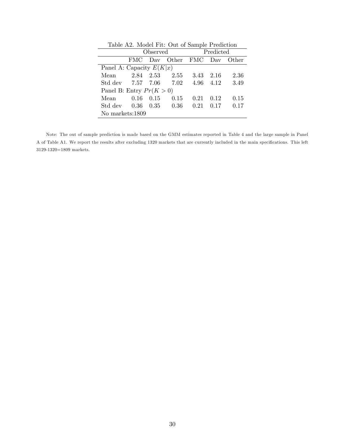| rapic 112. moder Fie. Out of pailiple Frediction |                 |                 |               |      |        |       |  |  |  |  |  |  |  |
|--------------------------------------------------|-----------------|-----------------|---------------|------|--------|-------|--|--|--|--|--|--|--|
|                                                  |                 | <i>Observed</i> | Predicted     |      |        |       |  |  |  |  |  |  |  |
|                                                  | FMC.            |                 | Day Other FMC |      | Dav    | Other |  |  |  |  |  |  |  |
| Panel A: Capacity $E(K x)$                       |                 |                 |               |      |        |       |  |  |  |  |  |  |  |
| Mean                                             | 2.84 2.53       |                 | 2.55          | 3.43 | - 2.16 | 2.36  |  |  |  |  |  |  |  |
| Std dev 7.57 7.06                                |                 |                 | 7.02          | 4.96 | 4.12   | 3.49  |  |  |  |  |  |  |  |
| Panel B: Entry $Pr(K > 0)$                       |                 |                 |               |      |        |       |  |  |  |  |  |  |  |
| Mean                                             | 0.16            | 0.15            | 0.15          | 0.21 | 0.12   | 0.15  |  |  |  |  |  |  |  |
| Std dev $0.36$                                   |                 | 0.35            | 0.36          | 0.21 | 0.17   | 0.17  |  |  |  |  |  |  |  |
|                                                  | No markets:1809 |                 |               |      |        |       |  |  |  |  |  |  |  |

Table A2. Model Fit: Out of Sample Prediction

Note: The out of sample prediction is made based on the GMM estimates reported in Table 4 and the large sample in Panel A of Table A1. We report the results after excluding 1320 markets that are currently included in the main specifications. This left 3129-1320=1809 markets.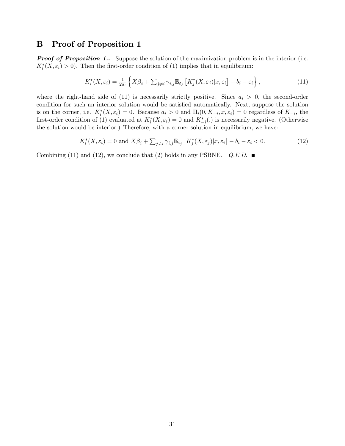## B Proof of Proposition 1

**Proof of Proposition 1..** Suppose the solution of the maximization problem is in the interior (i.e.  $K_i^*(X, \varepsilon_i) > 0$ . Then the first-order condition of (1) implies that in equilibrium:

$$
K_i^*(X, \varepsilon_i) = \frac{1}{2a_i} \left\{ X\beta_i + \sum_{j \neq i} \gamma_{i,j} \mathbb{E}_{\varepsilon_j} \left[ K_j^*(X, \varepsilon_j) | x, \varepsilon_i \right] - b_i - \varepsilon_i \right\},\tag{11}
$$

where the right-hand side of (11) is necessarily strictly positive. Since  $a_i > 0$ , the second-order condition for such an interior solution would be satisfied automatically. Next, suppose the solution is on the corner, i.e.  $K_i^*(X, \varepsilon_i) = 0$ . Because  $a_i > 0$  and  $\Pi_i(0, K_{-i}, x, \varepsilon_i) = 0$  regardless of  $K_{-i}$ , the first-order condition of (1) evaluated at  $K_i^*(X, \varepsilon_i) = 0$  and  $K_{-i}^*(.)$  is necessarily negative. (Otherwise the solution would be interior.) Therefore, with a corner solution in equilibrium, we have:

$$
K_i^*(X, \varepsilon_i) = 0 \text{ and } X\beta_i + \sum_{j \neq i} \gamma_{i,j} \mathbb{E}_{\varepsilon_j} \left[ K_j^*(X, \varepsilon_j) | x, \varepsilon_i \right] - b_i - \varepsilon_i < 0. \tag{12}
$$

Combining (11) and (12), we conclude that (2) holds in any PSBNE.  $Q.E.D.$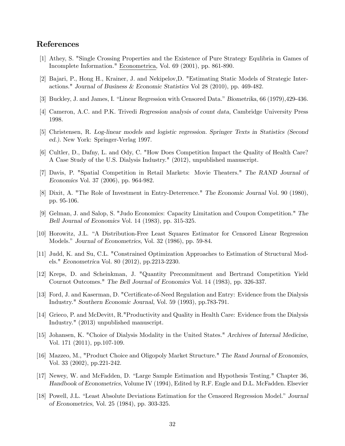## References

- [1] Athey, S. "Single Crossing Properties and the Existence of Pure Strategy Equlibria in Games of Incomplete Information." Econometrica, Vol. 69 (2001), pp. 861-890.
- [2] Bajari, P., Hong H., Krainer, J. and Nekipelov,D. "Estimating Static Models of Strategic Interactions." Journal of Business & Economic Statistics Vol 28 (2010), pp. 469-482.
- [3] Buckley, J. and James, I. "Linear Regression with Censored Data." Biometrika, 66 (1979), 429-436.
- [4] Cameron, A.C. and P.K. Trivedi Regression analysis of count data, Cambridge University Press 1998.
- [5] Christensen, R. Log-linear models and logistic regression. Springer Texts in Statistics (Second ed.). New York: Springer-Verlag 1997.
- [6] Cultler, D., Dafny, L. and Ody, C. "How Does Competition Impact the Quality of Health Care? A Case Study of the U.S. Dialysis Industry." (2012), unpublished manuscript.
- [7] Davis, P. "Spatial Competition in Retail Markets: Movie Theaters." The RAND Journal of Economics Vol. 37 (2006), pp. 964-982.
- [8] Dixit, A. "The Role of Investment in Entry-Deterrence." The Economic Journal Vol. 90 (1980), pp. 95-106.
- [9] Gelman, J. and Salop, S. "Judo Economics: Capacity Limitation and Coupon Competition." The Bell Journal of Economics Vol. 14 (1983), pp. 315-325.
- [10] Horowitz, J.L. "A Distribution-Free Least Squares Estimator for Censored Linear Regression Models." Journal of Econometrics, Vol. 32 (1986), pp. 59-84.
- [11] Judd, K. and Su, C.L. "Constrained Optimization Approaches to Estimation of Structural Models." Econometrica Vol. 80 (2012), pp.2213-2230.
- [12] Kreps, D. and Scheinkman, J. "Quantity Precommitment and Bertrand Competition Yield Cournot Outcomes." The Bell Journal of Economics Vol. 14 (1983), pp. 326-337.
- [13] Ford, J. and Kaserman, D. "Certificate-of-Need Regulation and Entry: Evidence from the Dialysis Industry." Southern Economic Journal, Vol. 59 (1993), pp.783-791.
- [14] Grieco, P. and McDevitt, R."Productivity and Quality in Health Care: Evidence from the Dialysis Industry." (2013) unpublished manuscript.
- [15] Johansen, K. "Choice of Dialysis Modality in the United States." Archives of Internal Medicine, Vol. 171 (2011), pp.107-109.
- [16] Mazzeo, M., "Product Choice and Oligopoly Market Structure." The Rand Journal of Economics, Vol. 33 (2002), pp.221-242.
- [17] Newey, W. and McFadden, D. "Large Sample Estimation and Hypothesis Testing." Chapter 36, Handbook of Econometrics, Volume IV (1994), Edited by R.F. Engle and D.L. McFadden. Elsevier
- [18] Powell, J.L. "Least Absolute Deviations Estimation for the Censored Regression Model." Journal of Econometrics, Vol. 25 (1984), pp. 303-325.